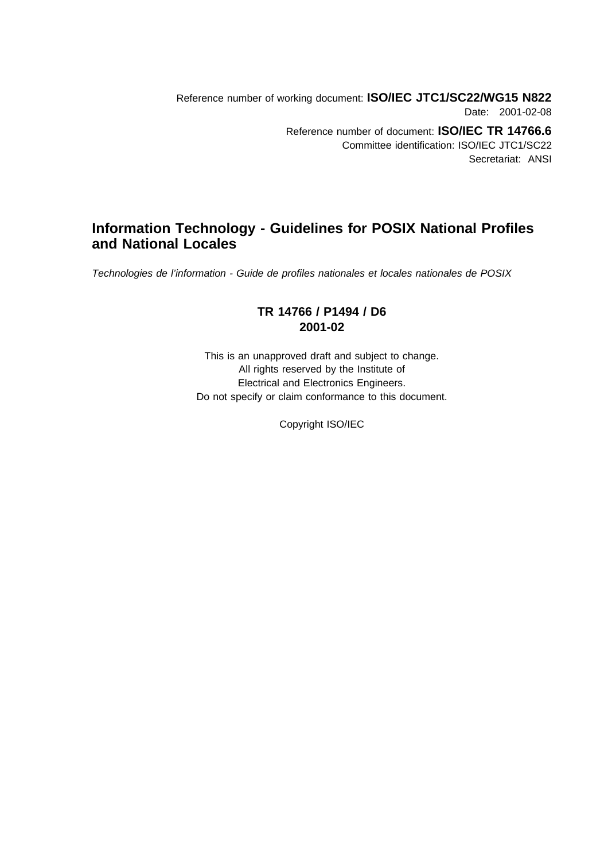Reference number of working document: **ISO/IEC JTC1/SC22/WG15 N822** Date: 2001-02-08 Reference number of document: **ISO/IEC TR 14766.6** Committee identification: ISO/IEC JTC1/SC22 Secretariat: ANSI

# **Information Technology - Guidelines for POSIX National Profiles and National Locales**

Technologies de l'information - Guide de profiles nationales et locales nationales de POSIX

### **TR 14766 / P1494 / D6 2001-02**

This is an unapproved draft and subject to change. All rights reserved by the Institute of Electrical and Electronics Engineers. Do not specify or claim conformance to this document.

Copyright ISO/IEC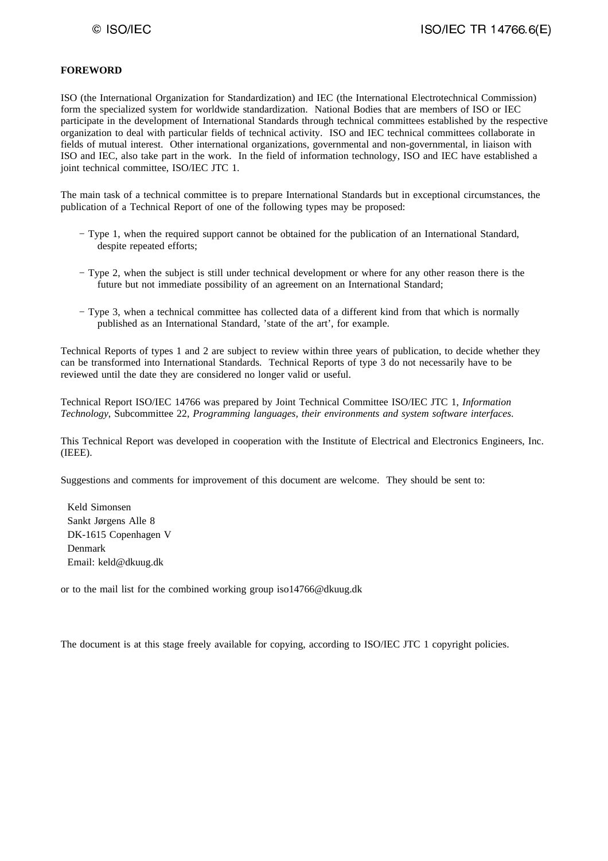#### **FOREWORD**

ISO (the International Organization for Standardization) and IEC (the International Electrotechnical Commission) form the specialized system for worldwide standardization. National Bodies that are members of ISO or IEC participate in the development of International Standards through technical committees established by the respective organization to deal with particular fields of technical activity. ISO and IEC technical committees collaborate in fields of mutual interest. Other international organizations, governmental and non-governmental, in liaison with ISO and IEC, also take part in the work. In the field of information technology, ISO and IEC have established a joint technical committee, ISO/IEC JTC 1.

The main task of a technical committee is to prepare International Standards but in exceptional circumstances, the publication of a Technical Report of one of the following types may be proposed:

- − Type 1, when the required support cannot be obtained for the publication of an International Standard, despite repeated efforts;
- − Type 2, when the subject is still under technical development or where for any other reason there is the future but not immediate possibility of an agreement on an International Standard;
- − Type 3, when a technical committee has collected data of a different kind from that which is normally published as an International Standard, 'state of the art', for example.

Technical Reports of types 1 and 2 are subject to review within three years of publication, to decide whether they can be transformed into International Standards. Technical Reports of type 3 do not necessarily have to be reviewed until the date they are considered no longer valid or useful.

Technical Report ISO/IEC 14766 was prepared by Joint Technical Committee ISO/IEC JTC 1, *Information Technology*, Subcommittee 22, *Programming languages, their environments and system software interfaces*.

This Technical Report was developed in cooperation with the Institute of Electrical and Electronics Engineers, Inc. (IEEE).

Suggestions and comments for improvement of this document are welcome. They should be sent to:

 Keld Simonsen Sankt Jørgens Alle 8 DK-1615 Copenhagen V Denmark Email: keld@dkuug.dk

or to the mail list for the combined working group iso14766@dkuug.dk

The document is at this stage freely available for copying, according to ISO/IEC JTC 1 copyright policies.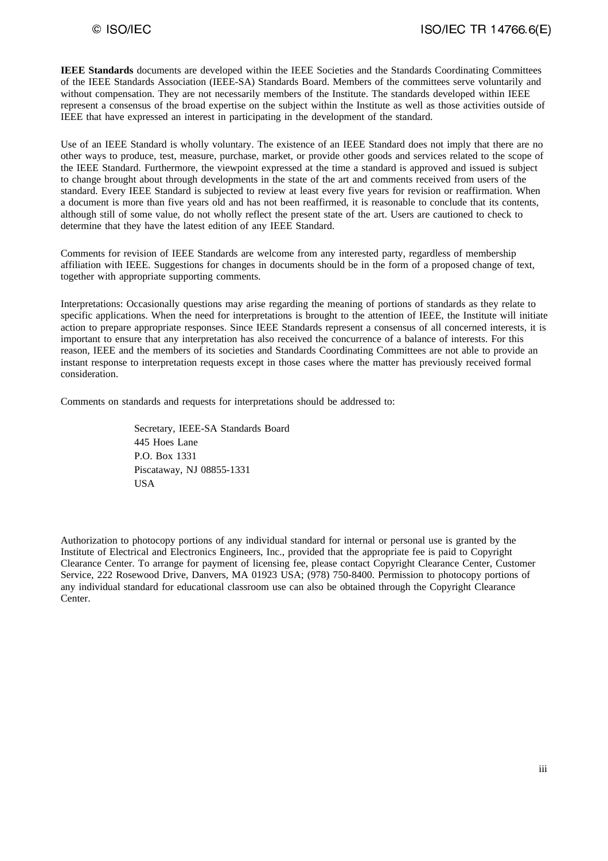**IEEE Standards** documents are developed within the IEEE Societies and the Standards Coordinating Committees of the IEEE Standards Association (IEEE-SA) Standards Board. Members of the committees serve voluntarily and without compensation. They are not necessarily members of the Institute. The standards developed within IEEE represent a consensus of the broad expertise on the subject within the Institute as well as those activities outside of IEEE that have expressed an interest in participating in the development of the standard.

Use of an IEEE Standard is wholly voluntary. The existence of an IEEE Standard does not imply that there are no other ways to produce, test, measure, purchase, market, or provide other goods and services related to the scope of the IEEE Standard. Furthermore, the viewpoint expressed at the time a standard is approved and issued is subject to change brought about through developments in the state of the art and comments received from users of the standard. Every IEEE Standard is subjected to review at least every five years for revision or reaffirmation. When a document is more than five years old and has not been reaffirmed, it is reasonable to conclude that its contents, although still of some value, do not wholly reflect the present state of the art. Users are cautioned to check to determine that they have the latest edition of any IEEE Standard.

Comments for revision of IEEE Standards are welcome from any interested party, regardless of membership affiliation with IEEE. Suggestions for changes in documents should be in the form of a proposed change of text, together with appropriate supporting comments.

Interpretations: Occasionally questions may arise regarding the meaning of portions of standards as they relate to specific applications. When the need for interpretations is brought to the attention of IEEE, the Institute will initiate action to prepare appropriate responses. Since IEEE Standards represent a consensus of all concerned interests, it is important to ensure that any interpretation has also received the concurrence of a balance of interests. For this reason, IEEE and the members of its societies and Standards Coordinating Committees are not able to provide an instant response to interpretation requests except in those cases where the matter has previously received formal consideration.

Comments on standards and requests for interpretations should be addressed to:

Secretary, IEEE-SA Standards Board 445 Hoes Lane P.O. Box 1331 Piscataway, NJ 08855-1331 USA

Authorization to photocopy portions of any individual standard for internal or personal use is granted by the Institute of Electrical and Electronics Engineers, Inc., provided that the appropriate fee is paid to Copyright Clearance Center. To arrange for payment of licensing fee, please contact Copyright Clearance Center, Customer Service, 222 Rosewood Drive, Danvers, MA 01923 USA; (978) 750-8400. Permission to photocopy portions of any individual standard for educational classroom use can also be obtained through the Copyright Clearance Center.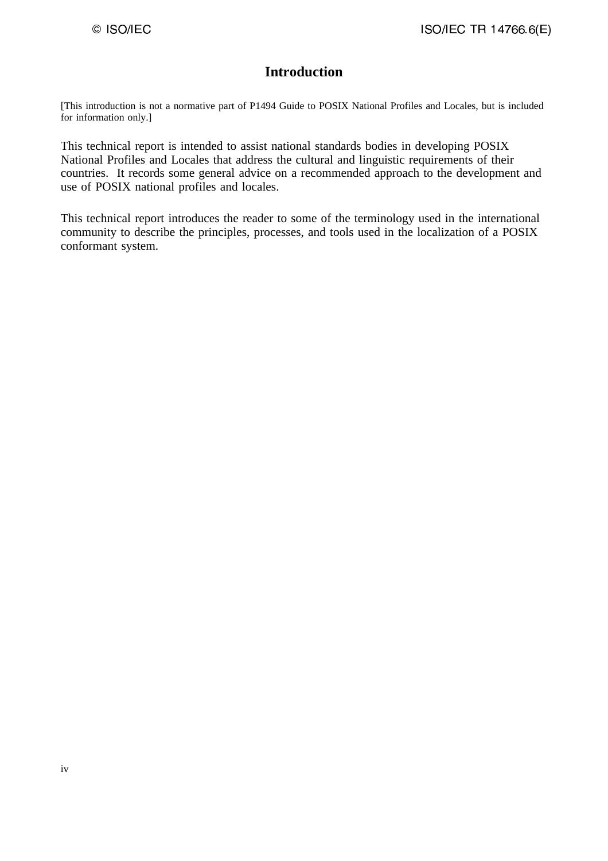# **Introduction**

[This introduction is not a normative part of P1494 Guide to POSIX National Profiles and Locales, but is included for information only.]

This technical report is intended to assist national standards bodies in developing POSIX National Profiles and Locales that address the cultural and linguistic requirements of their countries. It records some general advice on a recommended approach to the development and use of POSIX national profiles and locales.

This technical report introduces the reader to some of the terminology used in the international community to describe the principles, processes, and tools used in the localization of a POSIX conformant system.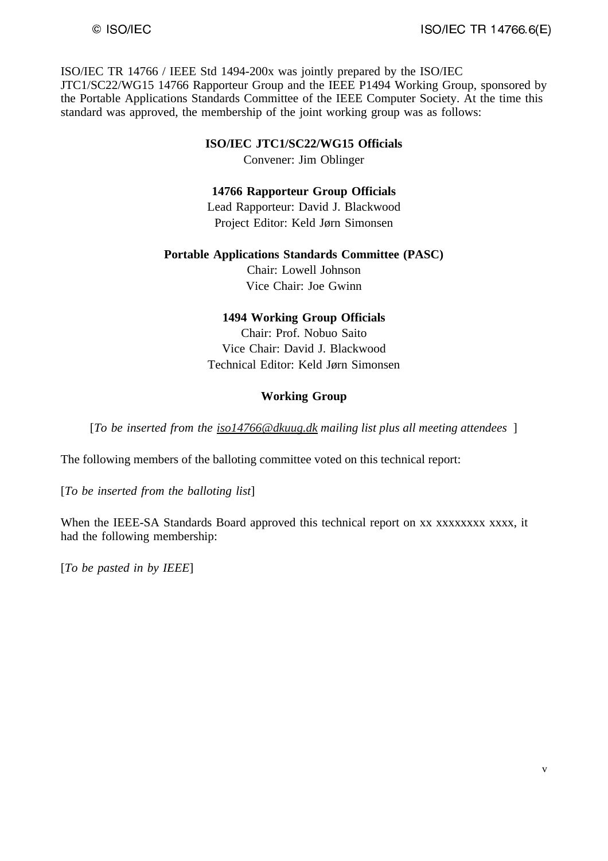ISO/IEC TR 14766 / IEEE Std 1494-200x was jointly prepared by the ISO/IEC JTC1/SC22/WG15 14766 Rapporteur Group and the IEEE P1494 Working Group, sponsored by the Portable Applications Standards Committee of the IEEE Computer Society. At the time this standard was approved, the membership of the joint working group was as follows:

#### **ISO/IEC JTC1/SC22/WG15 Officials**

Convener: Jim Oblinger

#### **14766 Rapporteur Group Officials**

Lead Rapporteur: David J. Blackwood Project Editor: Keld Jørn Simonsen

### **Portable Applications Standards Committee (PASC)**

Chair: Lowell Johnson Vice Chair: Joe Gwinn

#### **1494 Working Group Officials**

Chair: Prof. Nobuo Saito Vice Chair: David J. Blackwood Technical Editor: Keld Jørn Simonsen

#### **Working Group**

[*To be inserted from the iso14766@dkuug.dk mailing list plus all meeting attendees* ]

The following members of the balloting committee voted on this technical report:

[*To be inserted from the balloting list*]

When the IEEE-SA Standards Board approved this technical report on xx xxxxxxxx xxxx, it had the following membership:

[*To be pasted in by IEEE*]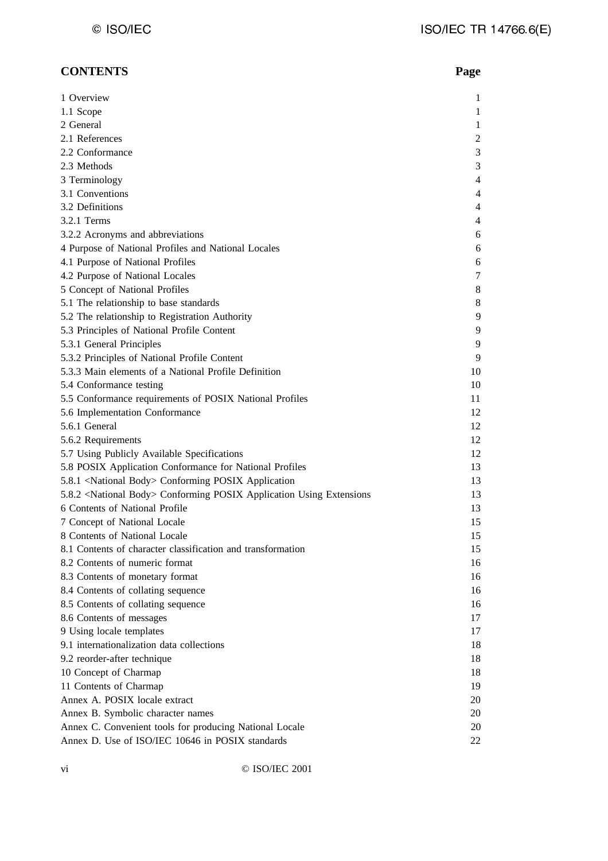### **CONTENTS Page**

| 1 Overview                                                                        | 1              |
|-----------------------------------------------------------------------------------|----------------|
| 1.1 Scope                                                                         | 1              |
| 2 General                                                                         | 1              |
| 2.1 References                                                                    | $\overline{c}$ |
| 2.2 Conformance                                                                   | $\mathfrak{Z}$ |
| 2.3 Methods                                                                       | 3              |
| 3 Terminology                                                                     | $\overline{4}$ |
| 3.1 Conventions                                                                   | 4              |
| 3.2 Definitions                                                                   | $\overline{4}$ |
| 3.2.1 Terms                                                                       | 4              |
| 3.2.2 Acronyms and abbreviations                                                  | 6              |
| 4 Purpose of National Profiles and National Locales                               | 6              |
| 4.1 Purpose of National Profiles                                                  | 6              |
| 4.2 Purpose of National Locales                                                   | 7              |
| 5 Concept of National Profiles                                                    | 8              |
| 5.1 The relationship to base standards                                            | 8              |
| 5.2 The relationship to Registration Authority                                    | 9              |
|                                                                                   |                |
| 5.3 Principles of National Profile Content                                        | 9              |
| 5.3.1 General Principles                                                          | 9              |
| 5.3.2 Principles of National Profile Content                                      | 9              |
| 5.3.3 Main elements of a National Profile Definition                              | 10             |
| 5.4 Conformance testing                                                           | 10             |
| 5.5 Conformance requirements of POSIX National Profiles                           | 11             |
| 5.6 Implementation Conformance                                                    | 12             |
| 5.6.1 General                                                                     | 12             |
| 5.6.2 Requirements                                                                | 12             |
| 5.7 Using Publicly Available Specifications                                       | 12             |
| 5.8 POSIX Application Conformance for National Profiles                           | 13             |
| 5.8.1 <national body=""> Conforming POSIX Application</national>                  | 13             |
| 5.8.2 <national body=""> Conforming POSIX Application Using Extensions</national> | 13             |
| 6 Contents of National Profile                                                    | 13             |
| 7 Concept of National Locale                                                      | 15             |
| 8 Contents of National Locale                                                     | 15             |
| 8.1 Contents of character classification and transformation                       | 15             |
| 8.2 Contents of numeric format                                                    | 16             |
| 8.3 Contents of monetary format                                                   | 16             |
| 8.4 Contents of collating sequence                                                | 16             |
| 8.5 Contents of collating sequence                                                | 16             |
| 8.6 Contents of messages                                                          | 17             |
| 9 Using locale templates                                                          | 17             |
| 9.1 internationalization data collections                                         | 18             |
| 9.2 reorder-after technique                                                       | 18             |
| 10 Concept of Charmap                                                             | 18             |
| 11 Contents of Charmap                                                            | 19             |
| Annex A. POSIX locale extract                                                     | 20             |
| Annex B. Symbolic character names                                                 | 20             |
| Annex C. Convenient tools for producing National Locale                           | 20             |
| Annex D. Use of ISO/IEC 10646 in POSIX standards                                  | 22             |
|                                                                                   |                |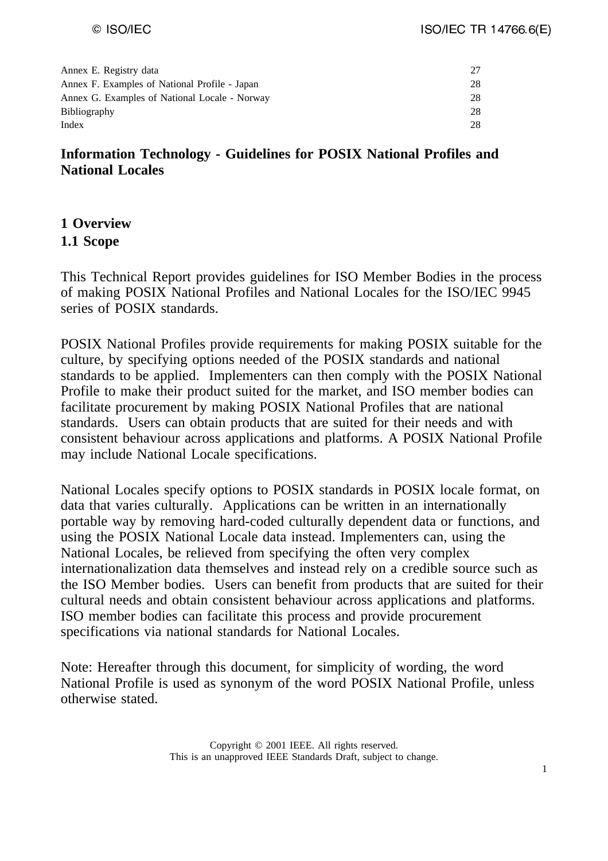| Annex E. Registry data                        | 27 |
|-----------------------------------------------|----|
| Annex F. Examples of National Profile - Japan | 28 |
| Annex G. Examples of National Locale - Norway | 28 |
| <b>Bibliography</b>                           | 28 |
| Index                                         | 28 |

# **Information Technology - Guidelines for POSIX National Profiles and National Locales**

# **1 Overview**

# **1.1 Scope**

This Technical Report provides guidelines for ISO Member Bodies in the process of making POSIX National Profiles and National Locales for the ISO/IEC 9945 series of POSIX standards.

POSIX National Profiles provide requirements for making POSIX suitable for the culture, by specifying options needed of the POSIX standards and national standards to be applied. Implementers can then comply with the POSIX National Profile to make their product suited for the market, and ISO member bodies can facilitate procurement by making POSIX National Profiles that are national standards. Users can obtain products that are suited for their needs and with consistent behaviour across applications and platforms. A POSIX National Profile may include National Locale specifications.

National Locales specify options to POSIX standards in POSIX locale format, on data that varies culturally. Applications can be written in an internationally portable way by removing hard-coded culturally dependent data or functions, and using the POSIX National Locale data instead. Implementers can, using the National Locales, be relieved from specifying the often very complex internationalization data themselves and instead rely on a credible source such as the ISO Member bodies. Users can benefit from products that are suited for their cultural needs and obtain consistent behaviour across applications and platforms. ISO member bodies can facilitate this process and provide procurement specifications via national standards for National Locales.

Note: Hereafter through this document, for simplicity of wording, the word National Profile is used as synonym of the word POSIX National Profile, unless otherwise stated.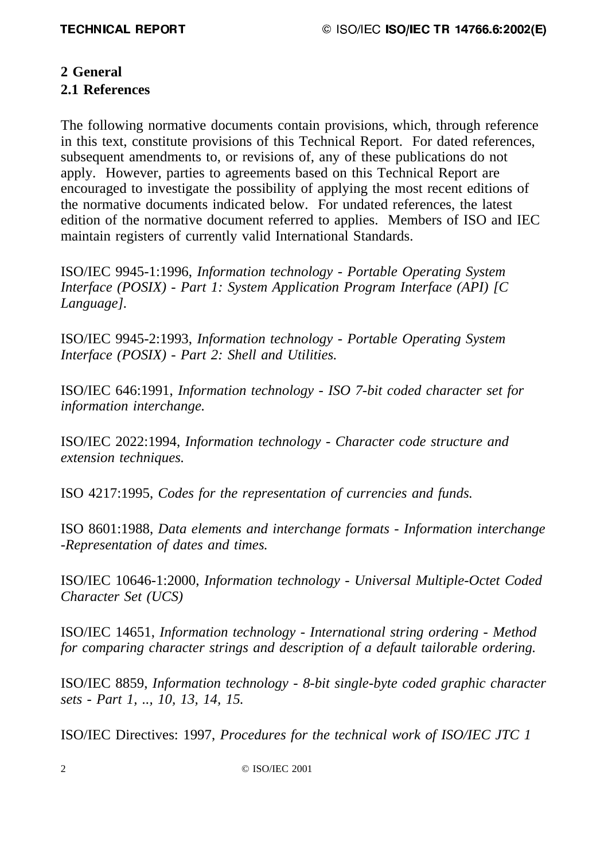# **2 General**

# **2.1 References**

The following normative documents contain provisions, which, through reference in this text, constitute provisions of this Technical Report. For dated references, subsequent amendments to, or revisions of, any of these publications do not apply. However, parties to agreements based on this Technical Report are encouraged to investigate the possibility of applying the most recent editions of the normative documents indicated below. For undated references, the latest edition of the normative document referred to applies. Members of ISO and IEC maintain registers of currently valid International Standards.

ISO/IEC 9945-1:1996, *Information technology - Portable Operating System Interface (POSIX) - Part 1: System Application Program Interface (API) [C Language].*

ISO/IEC 9945-2:1993, *Information technology - Portable Operating System Interface (POSIX) - Part 2: Shell and Utilities.* 

ISO/IEC 646:1991, *Information technology - ISO 7-bit coded character set for information interchange.*

ISO/IEC 2022:1994, *Information technology - Character code structure and extension techniques.*

ISO 4217:1995, *Codes for the representation of currencies and funds.*

ISO 8601:1988, *Data elements and interchange formats - Information interchange -Representation of dates and times.*

ISO/IEC 10646-1:2000, *Information technology - Universal Multiple-Octet Coded Character Set (UCS)*

ISO/IEC 14651, *Information technology - International string ordering - Method for comparing character strings and description of a default tailorable ordering.*

ISO/IEC 8859, *Information technology - 8-bit single-byte coded graphic character sets - Part 1, .., 10, 13, 14, 15.*

ISO/IEC Directives: 1997, *Procedures for the technical work of ISO/IEC JTC 1*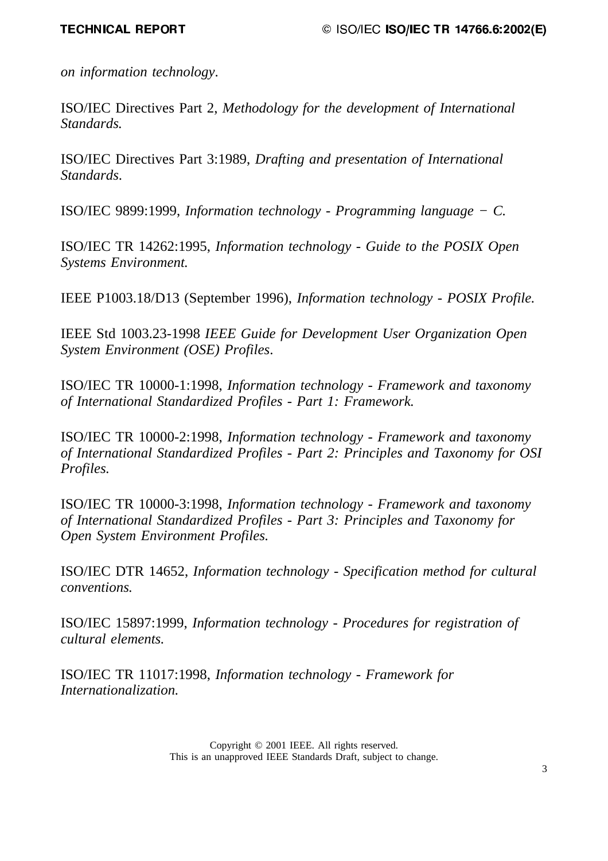*on information technology*.

ISO/IEC Directives Part 2, *Methodology for the development of International Standards.*

ISO/IEC Directives Part 3:1989, *Drafting and presentation of International Standards*.

ISO/IEC 9899:1999, *Information technology - Programming language − C.*

ISO/IEC TR 14262:1995, *Information technology - Guide to the POSIX Open Systems Environment.*

IEEE P1003.18/D13 (September 1996), *Information technology - POSIX Profile.*

IEEE Std 1003.23-1998 *IEEE Guide for Development User Organization Open System Environment (OSE) Profiles*.

ISO/IEC TR 10000-1:1998, *Information technology - Framework and taxonomy of International Standardized Profiles - Part 1: Framework.*

ISO/IEC TR 10000-2:1998, *Information technology - Framework and taxonomy of International Standardized Profiles - Part 2: Principles and Taxonomy for OSI Profiles.*

ISO/IEC TR 10000-3:1998, *Information technology - Framework and taxonomy of International Standardized Profiles - Part 3: Principles and Taxonomy for Open System Environment Profiles.*

ISO/IEC DTR 14652, *Information technology - Specification method for cultural conventions.*

ISO/IEC 15897:1999, *Information technology - Procedures for registration of cultural elements.*

ISO/IEC TR 11017:1998, *Information technology - Framework for Internationalization.*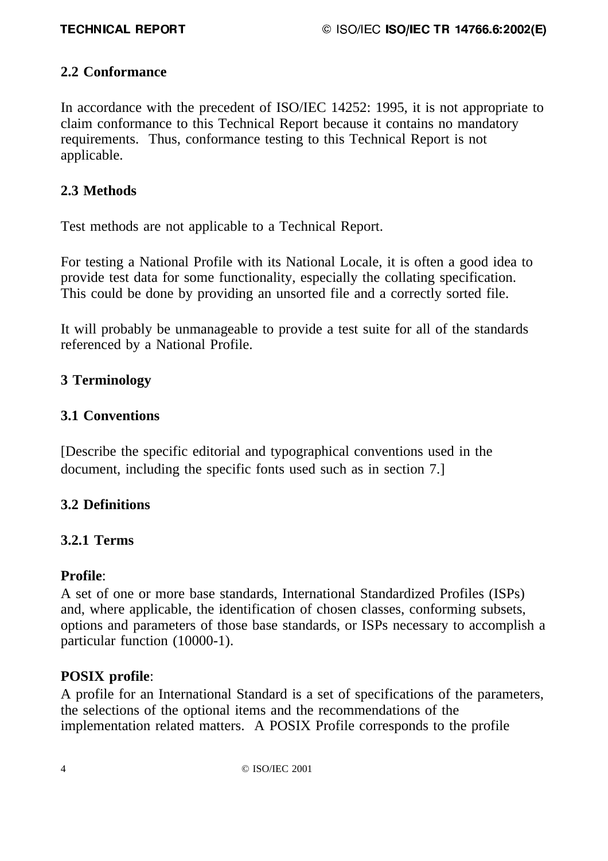# **2.2 Conformance**

In accordance with the precedent of ISO/IEC 14252: 1995, it is not appropriate to claim conformance to this Technical Report because it contains no mandatory requirements. Thus, conformance testing to this Technical Report is not applicable.

# **2.3 Methods**

Test methods are not applicable to a Technical Report.

For testing a National Profile with its National Locale, it is often a good idea to provide test data for some functionality, especially the collating specification. This could be done by providing an unsorted file and a correctly sorted file.

It will probably be unmanageable to provide a test suite for all of the standards referenced by a National Profile.

# **3 Terminology**

# **3.1 Conventions**

[Describe the specific editorial and typographical conventions used in the document, including the specific fonts used such as in section 7.]

# **3.2 Definitions**

# **3.2.1 Terms**

# **Profile**:

A set of one or more base standards, International Standardized Profiles (ISPs) and, where applicable, the identification of chosen classes, conforming subsets, options and parameters of those base standards, or ISPs necessary to accomplish a particular function (10000-1).

# **POSIX profile**:

A profile for an International Standard is a set of specifications of the parameters, the selections of the optional items and the recommendations of the implementation related matters. A POSIX Profile corresponds to the profile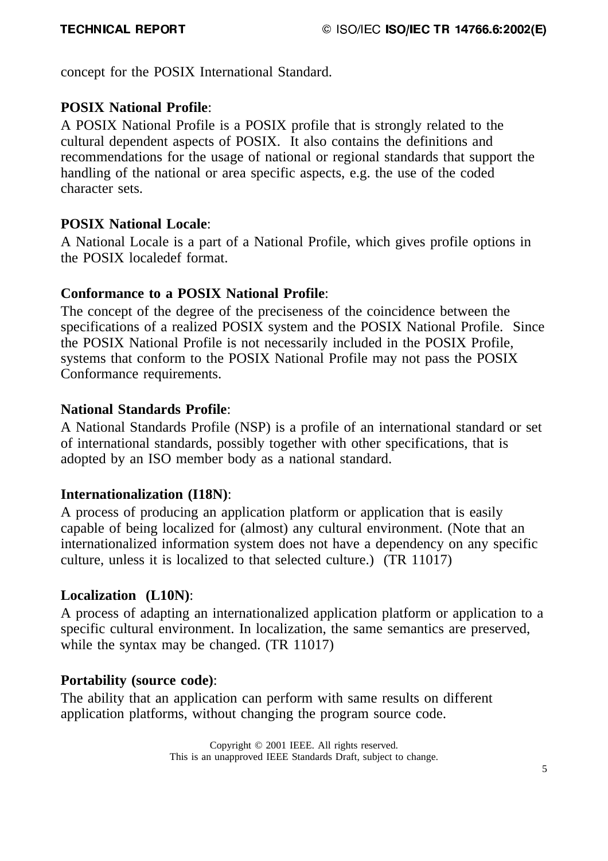concept for the POSIX International Standard.

# **POSIX National Profile**:

A POSIX National Profile is a POSIX profile that is strongly related to the cultural dependent aspects of POSIX. It also contains the definitions and recommendations for the usage of national or regional standards that support the handling of the national or area specific aspects, e.g. the use of the coded character sets.

# **POSIX National Locale**:

A National Locale is a part of a National Profile, which gives profile options in the POSIX localedef format.

# **Conformance to a POSIX National Profile**:

The concept of the degree of the preciseness of the coincidence between the specifications of a realized POSIX system and the POSIX National Profile. Since the POSIX National Profile is not necessarily included in the POSIX Profile, systems that conform to the POSIX National Profile may not pass the POSIX Conformance requirements.

# **National Standards Profile**:

A National Standards Profile (NSP) is a profile of an international standard or set of international standards, possibly together with other specifications, that is adopted by an ISO member body as a national standard.

# **Internationalization (I18N)**:

A process of producing an application platform or application that is easily capable of being localized for (almost) any cultural environment. (Note that an internationalized information system does not have a dependency on any specific culture, unless it is localized to that selected culture.) (TR 11017)

# **Localization (L10N)**:

A process of adapting an internationalized application platform or application to a specific cultural environment. In localization, the same semantics are preserved, while the syntax may be changed. *(TR 11017)* 

# **Portability (source code)**:

The ability that an application can perform with same results on different application platforms, without changing the program source code.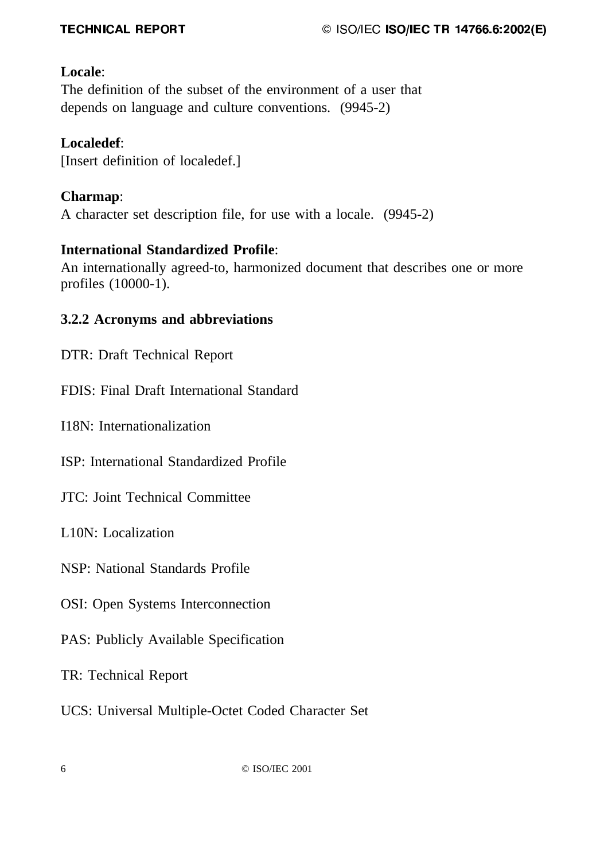# **Locale**:

The definition of the subset of the environment of a user that depends on language and culture conventions. (9945-2)

# **Localedef**:

[Insert definition of localedef.]

# **Charmap**:

A character set description file, for use with a locale. (9945-2)

# **International Standardized Profile**:

An internationally agreed-to, harmonized document that describes one or more profiles (10000-1).

# **3.2.2 Acronyms and abbreviations**

DTR: Draft Technical Report

FDIS: Final Draft International Standard

I18N: Internationalization

ISP: International Standardized Profile

JTC: Joint Technical Committee

L10N: Localization

NSP: National Standards Profile

OSI: Open Systems Interconnection

PAS: Publicly Available Specification

TR: Technical Report

UCS: Universal Multiple-Octet Coded Character Set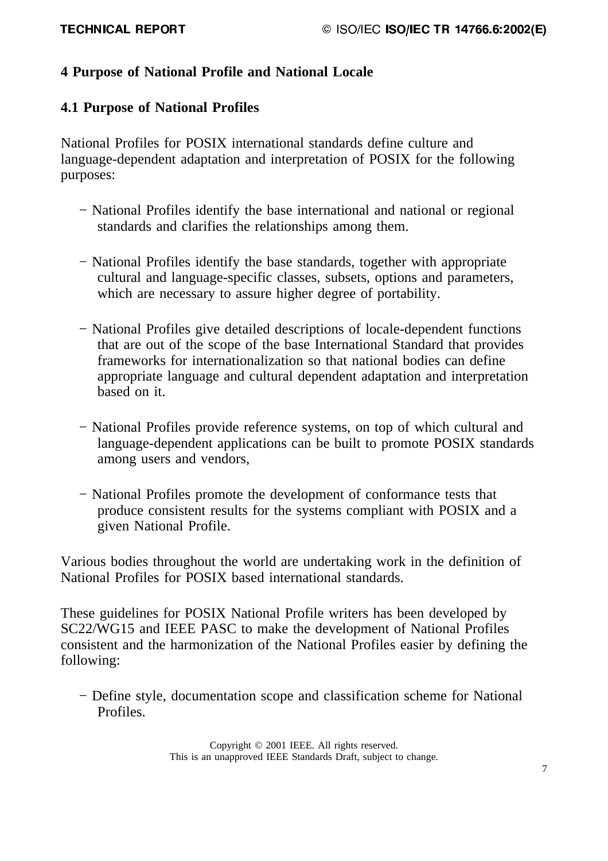# **4 Purpose of National Profile and National Locale**

# **4.1 Purpose of National Profiles**

National Profiles for POSIX international standards define culture and language-dependent adaptation and interpretation of POSIX for the following purposes:

- − National Profiles identify the base international and national or regional standards and clarifies the relationships among them.
- − National Profiles identify the base standards, together with appropriate cultural and language-specific classes, subsets, options and parameters, which are necessary to assure higher degree of portability.
- − National Profiles give detailed descriptions of locale-dependent functions that are out of the scope of the base International Standard that provides frameworks for internationalization so that national bodies can define appropriate language and cultural dependent adaptation and interpretation based on it.
- − National Profiles provide reference systems, on top of which cultural and language-dependent applications can be built to promote POSIX standards among users and vendors,
- − National Profiles promote the development of conformance tests that produce consistent results for the systems compliant with POSIX and a given National Profile.

Various bodies throughout the world are undertaking work in the definition of National Profiles for POSIX based international standards.

These guidelines for POSIX National Profile writers has been developed by SC22/WG15 and IEEE PASC to make the development of National Profiles consistent and the harmonization of the National Profiles easier by defining the following:

− Define style, documentation scope and classification scheme for National Profiles.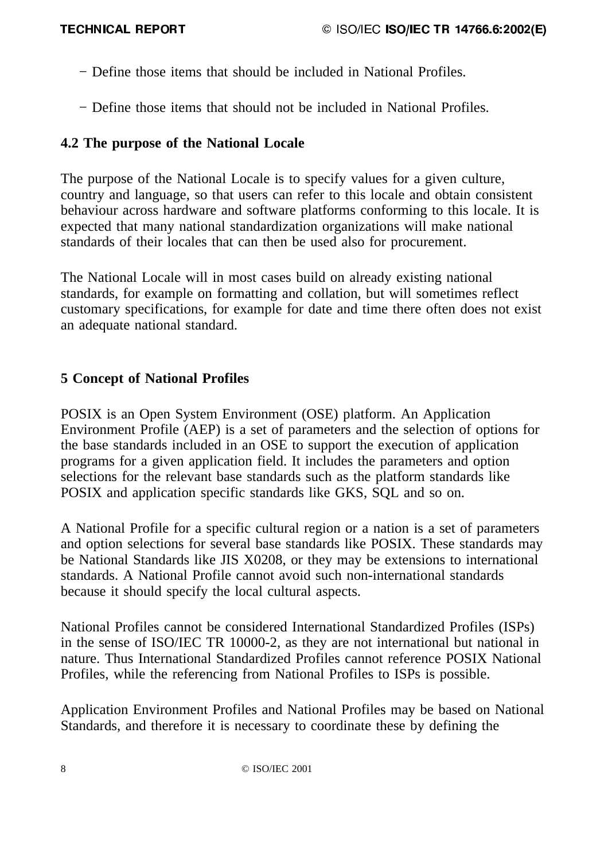- − Define those items that should be included in National Profiles.
- − Define those items that should not be included in National Profiles.

# **4.2 The purpose of the National Locale**

The purpose of the National Locale is to specify values for a given culture, country and language, so that users can refer to this locale and obtain consistent behaviour across hardware and software platforms conforming to this locale. It is expected that many national standardization organizations will make national standards of their locales that can then be used also for procurement.

The National Locale will in most cases build on already existing national standards, for example on formatting and collation, but will sometimes reflect customary specifications, for example for date and time there often does not exist an adequate national standard.

# **5 Concept of National Profiles**

POSIX is an Open System Environment (OSE) platform. An Application Environment Profile (AEP) is a set of parameters and the selection of options for the base standards included in an OSE to support the execution of application programs for a given application field. It includes the parameters and option selections for the relevant base standards such as the platform standards like POSIX and application specific standards like GKS, SQL and so on.

A National Profile for a specific cultural region or a nation is a set of parameters and option selections for several base standards like POSIX. These standards may be National Standards like JIS X0208, or they may be extensions to international standards. A National Profile cannot avoid such non-international standards because it should specify the local cultural aspects.

National Profiles cannot be considered International Standardized Profiles (ISPs) in the sense of ISO/IEC TR 10000-2, as they are not international but national in nature. Thus International Standardized Profiles cannot reference POSIX National Profiles, while the referencing from National Profiles to ISPs is possible.

Application Environment Profiles and National Profiles may be based on National Standards, and therefore it is necessary to coordinate these by defining the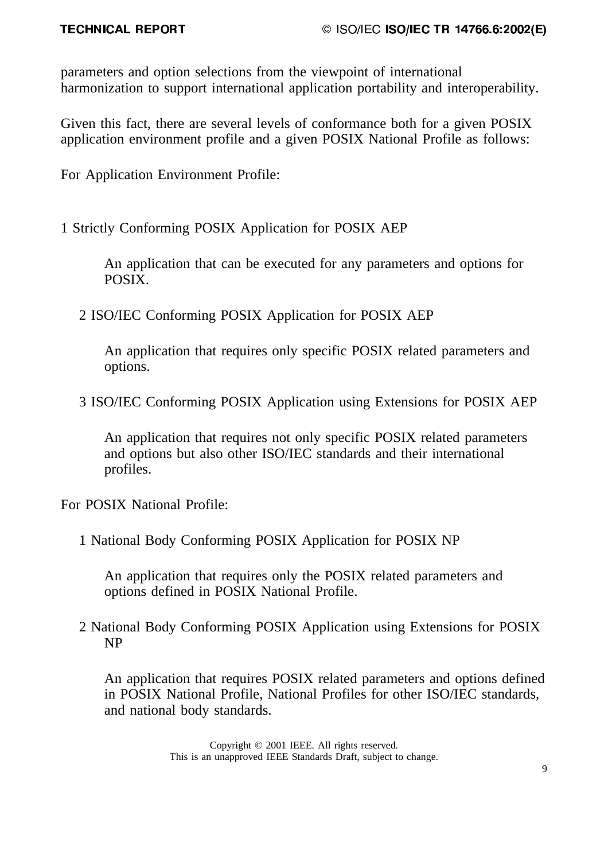parameters and option selections from the viewpoint of international harmonization to support international application portability and interoperability.

Given this fact, there are several levels of conformance both for a given POSIX application environment profile and a given POSIX National Profile as follows:

For Application Environment Profile:

1 Strictly Conforming POSIX Application for POSIX AEP

An application that can be executed for any parameters and options for POSIX.

2 ISO/IEC Conforming POSIX Application for POSIX AEP

An application that requires only specific POSIX related parameters and options.

3 ISO/IEC Conforming POSIX Application using Extensions for POSIX AEP

An application that requires not only specific POSIX related parameters and options but also other ISO/IEC standards and their international profiles.

For POSIX National Profile:

1 National Body Conforming POSIX Application for POSIX NP

An application that requires only the POSIX related parameters and options defined in POSIX National Profile.

2 National Body Conforming POSIX Application using Extensions for POSIX NP

An application that requires POSIX related parameters and options defined in POSIX National Profile, National Profiles for other ISO/IEC standards, and national body standards.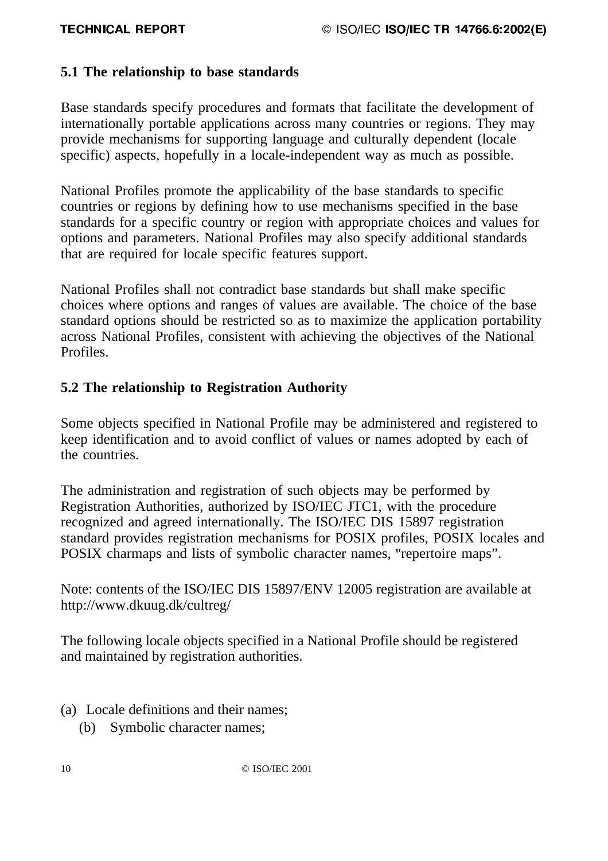# **5.1 The relationship to base standards**

Base standards specify procedures and formats that facilitate the development of internationally portable applications across many countries or regions. They may provide mechanisms for supporting language and culturally dependent (locale specific) aspects, hopefully in a locale-independent way as much as possible.

National Profiles promote the applicability of the base standards to specific countries or regions by defining how to use mechanisms specified in the base standards for a specific country or region with appropriate choices and values for options and parameters. National Profiles may also specify additional standards that are required for locale specific features support.

National Profiles shall not contradict base standards but shall make specific choices where options and ranges of values are available. The choice of the base standard options should be restricted so as to maximize the application portability across National Profiles, consistent with achieving the objectives of the National Profiles.

# **5.2 The relationship to Registration Authority**

Some objects specified in National Profile may be administered and registered to keep identification and to avoid conflict of values or names adopted by each of the countries.

The administration and registration of such objects may be performed by Registration Authorities, authorized by ISO/IEC JTC1, with the procedure recognized and agreed internationally. The ISO/IEC DIS 15897 registration standard provides registration mechanisms for POSIX profiles, POSIX locales and POSIX charmaps and lists of symbolic character names, "repertoire maps".

Note: contents of the ISO/IEC DIS 15897/ENV 12005 registration are available at http://www.dkuug.dk/cultreg/

The following locale objects specified in a National Profile should be registered and maintained by registration authorities.

- (a) Locale definitions and their names;
	- (b) Symbolic character names;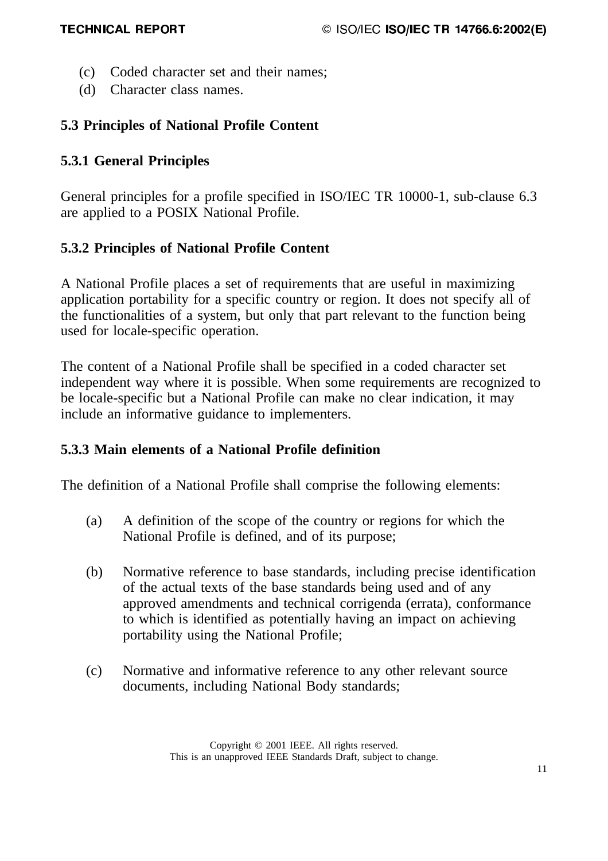- (c) Coded character set and their names;
- (d) Character class names.

# **5.3 Principles of National Profile Content**

# **5.3.1 General Principles**

General principles for a profile specified in ISO/IEC TR 10000-1, sub-clause 6.3 are applied to a POSIX National Profile.

# **5.3.2 Principles of National Profile Content**

A National Profile places a set of requirements that are useful in maximizing application portability for a specific country or region. It does not specify all of the functionalities of a system, but only that part relevant to the function being used for locale-specific operation.

The content of a National Profile shall be specified in a coded character set independent way where it is possible. When some requirements are recognized to be locale-specific but a National Profile can make no clear indication, it may include an informative guidance to implementers.

# **5.3.3 Main elements of a National Profile definition**

The definition of a National Profile shall comprise the following elements:

- (a) A definition of the scope of the country or regions for which the National Profile is defined, and of its purpose;
- (b) Normative reference to base standards, including precise identification of the actual texts of the base standards being used and of any approved amendments and technical corrigenda (errata), conformance to which is identified as potentially having an impact on achieving portability using the National Profile;
- (c) Normative and informative reference to any other relevant source documents, including National Body standards;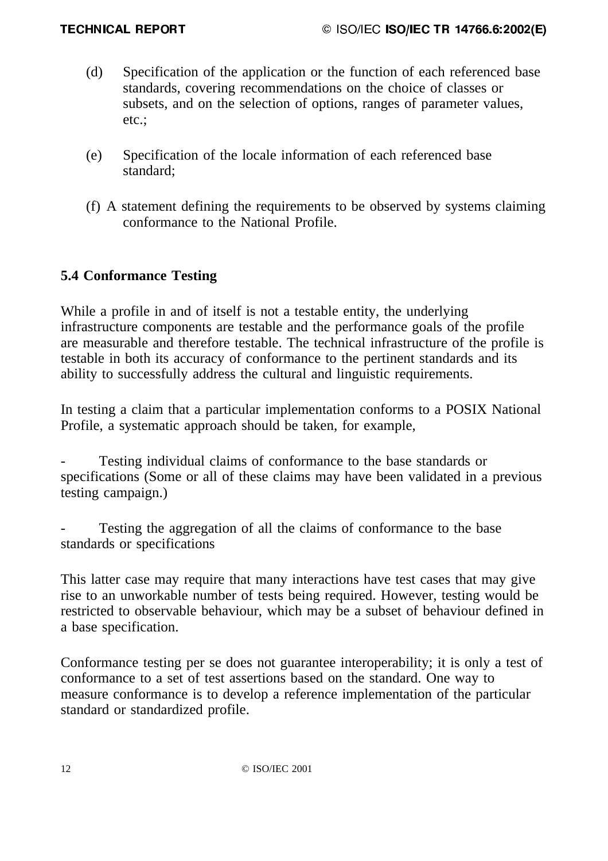- (d) Specification of the application or the function of each referenced base standards, covering recommendations on the choice of classes or subsets, and on the selection of options, ranges of parameter values, etc.;
- (e) Specification of the locale information of each referenced base standard;
- (f) A statement defining the requirements to be observed by systems claiming conformance to the National Profile.

# **5.4 Conformance Testing**

While a profile in and of itself is not a testable entity, the underlying infrastructure components are testable and the performance goals of the profile are measurable and therefore testable. The technical infrastructure of the profile is testable in both its accuracy of conformance to the pertinent standards and its ability to successfully address the cultural and linguistic requirements.

In testing a claim that a particular implementation conforms to a POSIX National Profile, a systematic approach should be taken, for example,

Testing individual claims of conformance to the base standards or specifications (Some or all of these claims may have been validated in a previous testing campaign.)

Testing the aggregation of all the claims of conformance to the base standards or specifications

This latter case may require that many interactions have test cases that may give rise to an unworkable number of tests being required. However, testing would be restricted to observable behaviour, which may be a subset of behaviour defined in a base specification.

Conformance testing per se does not guarantee interoperability; it is only a test of conformance to a set of test assertions based on the standard. One way to measure conformance is to develop a reference implementation of the particular standard or standardized profile.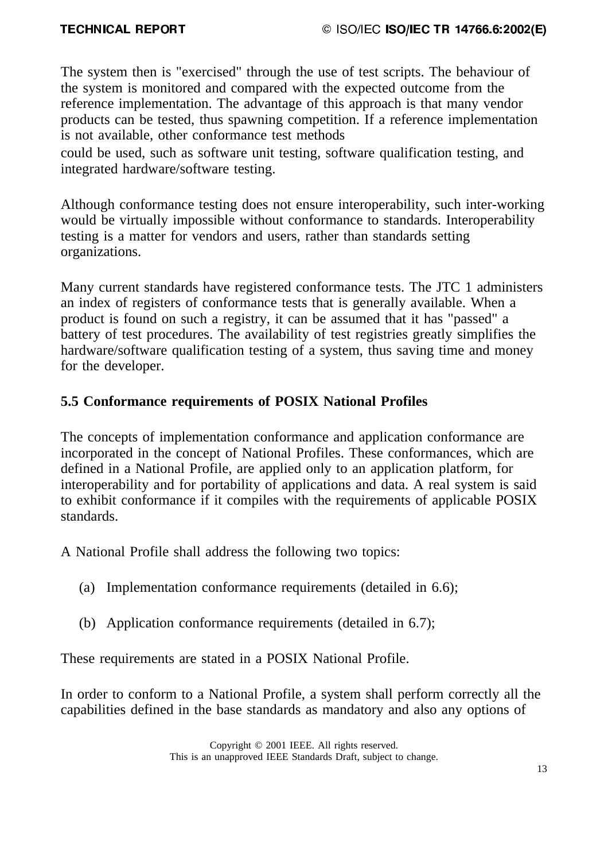The system then is "exercised" through the use of test scripts. The behaviour of the system is monitored and compared with the expected outcome from the reference implementation. The advantage of this approach is that many vendor products can be tested, thus spawning competition. If a reference implementation is not available, other conformance test methods

could be used, such as software unit testing, software qualification testing, and integrated hardware/software testing.

Although conformance testing does not ensure interoperability, such inter-working would be virtually impossible without conformance to standards. Interoperability testing is a matter for vendors and users, rather than standards setting organizations.

Many current standards have registered conformance tests. The JTC 1 administers an index of registers of conformance tests that is generally available. When a product is found on such a registry, it can be assumed that it has "passed" a battery of test procedures. The availability of test registries greatly simplifies the hardware/software qualification testing of a system, thus saving time and money for the developer.

# **5.5 Conformance requirements of POSIX National Profiles**

The concepts of implementation conformance and application conformance are incorporated in the concept of National Profiles. These conformances, which are defined in a National Profile, are applied only to an application platform, for interoperability and for portability of applications and data. A real system is said to exhibit conformance if it compiles with the requirements of applicable POSIX standards.

A National Profile shall address the following two topics:

- (a) Implementation conformance requirements (detailed in 6.6);
- (b) Application conformance requirements (detailed in 6.7);

These requirements are stated in a POSIX National Profile.

In order to conform to a National Profile, a system shall perform correctly all the capabilities defined in the base standards as mandatory and also any options of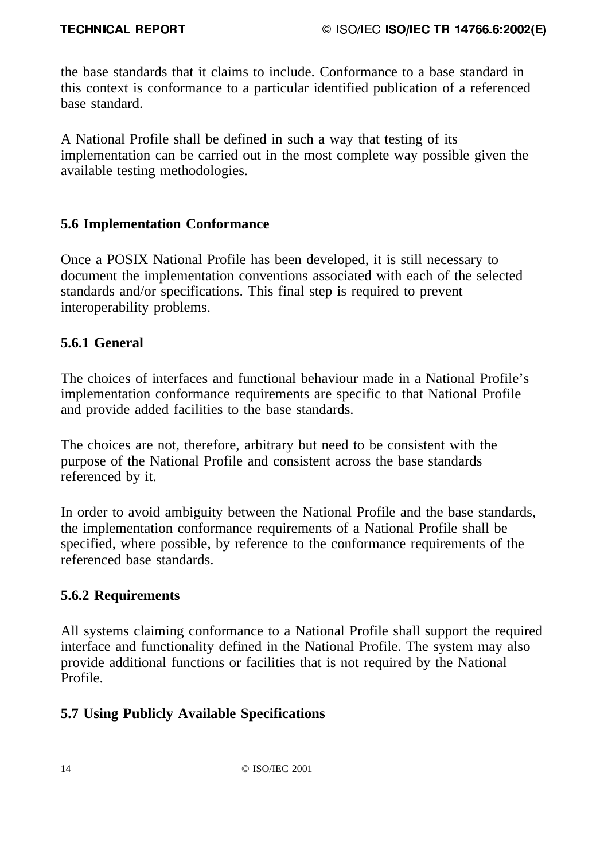the base standards that it claims to include. Conformance to a base standard in this context is conformance to a particular identified publication of a referenced base standard.

A National Profile shall be defined in such a way that testing of its implementation can be carried out in the most complete way possible given the available testing methodologies.

# **5.6 Implementation Conformance**

Once a POSIX National Profile has been developed, it is still necessary to document the implementation conventions associated with each of the selected standards and/or specifications. This final step is required to prevent interoperability problems.

# **5.6.1 General**

The choices of interfaces and functional behaviour made in a National Profile's implementation conformance requirements are specific to that National Profile and provide added facilities to the base standards.

The choices are not, therefore, arbitrary but need to be consistent with the purpose of the National Profile and consistent across the base standards referenced by it.

In order to avoid ambiguity between the National Profile and the base standards, the implementation conformance requirements of a National Profile shall be specified, where possible, by reference to the conformance requirements of the referenced base standards.

# **5.6.2 Requirements**

All systems claiming conformance to a National Profile shall support the required interface and functionality defined in the National Profile. The system may also provide additional functions or facilities that is not required by the National Profile.

# **5.7 Using Publicly Available Specifications**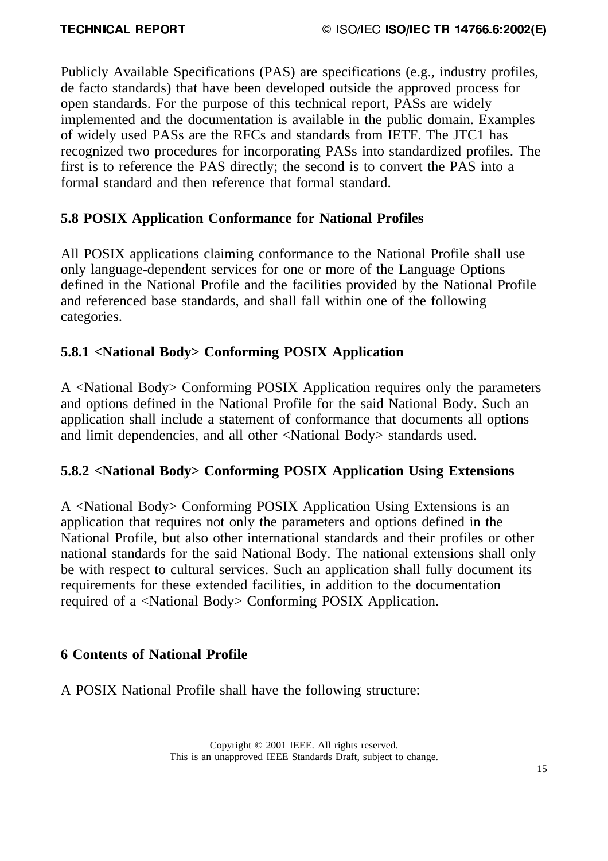Publicly Available Specifications (PAS) are specifications (e.g., industry profiles, de facto standards) that have been developed outside the approved process for open standards. For the purpose of this technical report, PASs are widely implemented and the documentation is available in the public domain. Examples of widely used PASs are the RFCs and standards from IETF. The JTC1 has recognized two procedures for incorporating PASs into standardized profiles. The first is to reference the PAS directly; the second is to convert the PAS into a formal standard and then reference that formal standard.

# **5.8 POSIX Application Conformance for National Profiles**

All POSIX applications claiming conformance to the National Profile shall use only language-dependent services for one or more of the Language Options defined in the National Profile and the facilities provided by the National Profile and referenced base standards, and shall fall within one of the following categories.

# **5.8.1 <National Body> Conforming POSIX Application**

A <National Body> Conforming POSIX Application requires only the parameters and options defined in the National Profile for the said National Body. Such an application shall include a statement of conformance that documents all options and limit dependencies, and all other <National Body> standards used.

# **5.8.2 <National Body> Conforming POSIX Application Using Extensions**

A <National Body> Conforming POSIX Application Using Extensions is an application that requires not only the parameters and options defined in the National Profile, but also other international standards and their profiles or other national standards for the said National Body. The national extensions shall only be with respect to cultural services. Such an application shall fully document its requirements for these extended facilities, in addition to the documentation required of a <National Body> Conforming POSIX Application.

# **6 Contents of National Profile**

A POSIX National Profile shall have the following structure: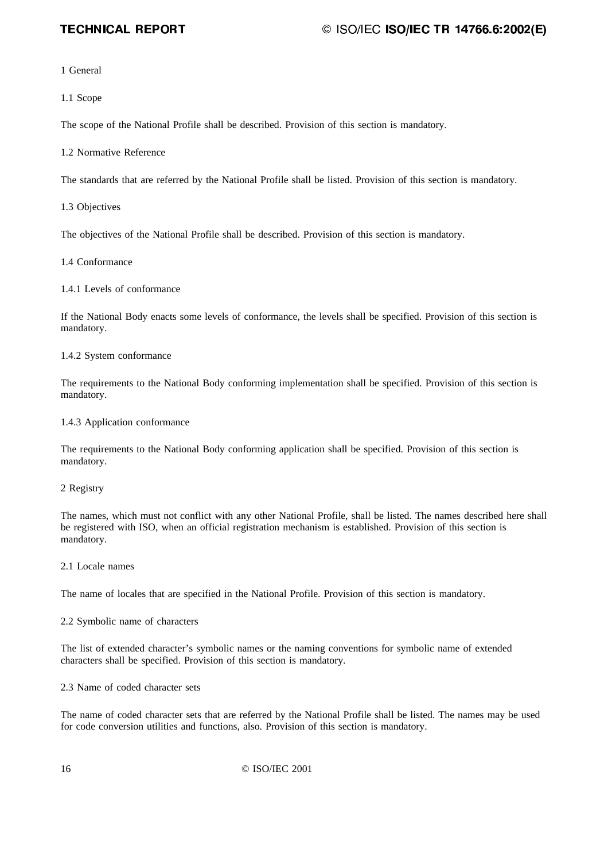### 3)54\$1768)9#%:"\$.<;>=@?AACBADFEGGHEIJ#K

1 General

1.1 Scope

The scope of the National Profile shall be described. Provision of this section is mandatory.

1.2 Normative Reference

The standards that are referred by the National Profile shall be listed. Provision of this section is mandatory.

1.3 Objectives

The objectives of the National Profile shall be described. Provision of this section is mandatory.

1.4 Conformance

1.4.1 Levels of conformance

If the National Body enacts some levels of conformance, the levels shall be specified. Provision of this section is mandatory.

1.4.2 System conformance

The requirements to the National Body conforming implementation shall be specified. Provision of this section is mandatory.

#### 1.4.3 Application conformance

The requirements to the National Body conforming application shall be specified. Provision of this section is mandatory.

#### 2 Registry

The names, which must not conflict with any other National Profile, shall be listed. The names described here shall be registered with ISO, when an official registration mechanism is established. Provision of this section is mandatory.

2.1 Locale names

The name of locales that are specified in the National Profile. Provision of this section is mandatory.

2.2 Symbolic name of characters

The list of extended character's symbolic names or the naming conventions for symbolic name of extended characters shall be specified. Provision of this section is mandatory.

2.3 Name of coded character sets

The name of coded character sets that are referred by the National Profile shall be listed. The names may be used for code conversion utilities and functions, also. Provision of this section is mandatory.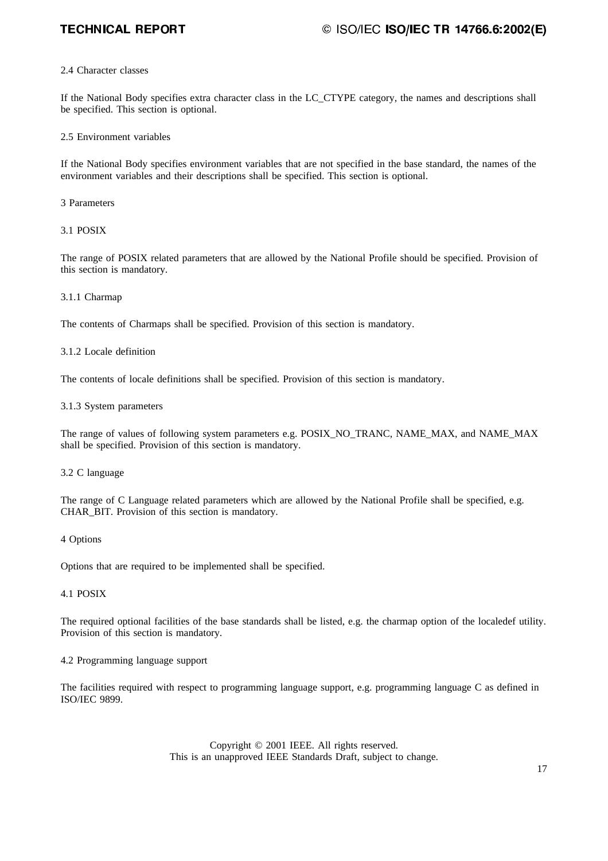### 3)54\$1768)9#%:"\$.<;>=@?AACBADFEGGHEIJ#K

#### 2.4 Character classes

If the National Body specifies extra character class in the LC\_CTYPE category, the names and descriptions shall be specified. This section is optional.

#### 2.5 Environment variables

If the National Body specifies environment variables that are not specified in the base standard, the names of the environment variables and their descriptions shall be specified. This section is optional.

3 Parameters

3.1 POSIX

The range of POSIX related parameters that are allowed by the National Profile should be specified. Provision of this section is mandatory.

#### 3.1.1 Charmap

The contents of Charmaps shall be specified. Provision of this section is mandatory.

#### 3.1.2 Locale definition

The contents of locale definitions shall be specified. Provision of this section is mandatory.

#### 3.1.3 System parameters

The range of values of following system parameters e.g. POSIX\_NO\_TRANC, NAME\_MAX, and NAME\_MAX shall be specified. Provision of this section is mandatory.

#### 3.2 C language

The range of C Language related parameters which are allowed by the National Profile shall be specified, e.g. CHAR\_BIT. Provision of this section is mandatory.

#### 4 Options

Options that are required to be implemented shall be specified.

#### 4.1 POSIX

The required optional facilities of the base standards shall be listed, e.g. the charmap option of the localedef utility. Provision of this section is mandatory.

#### 4.2 Programming language support

The facilities required with respect to programming language support, e.g. programming language C as defined in ISO/IEC 9899.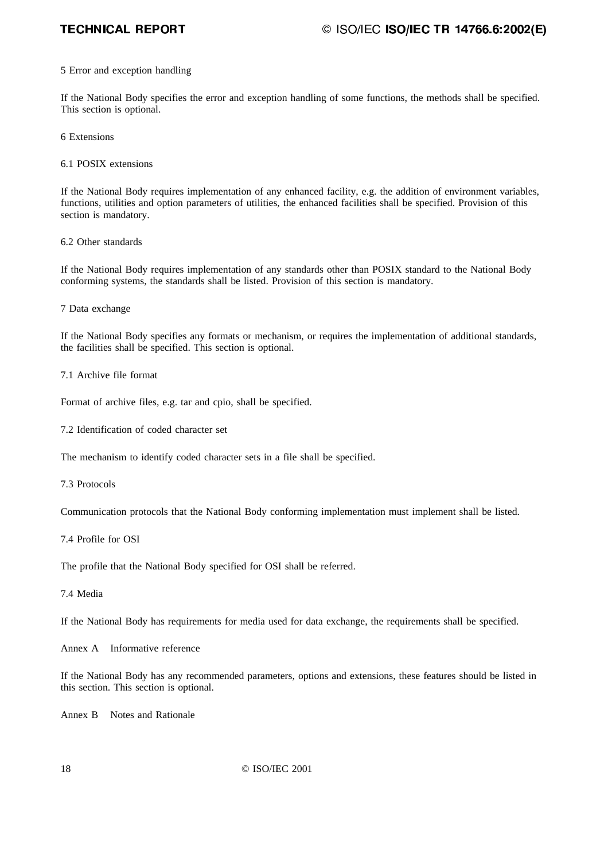### 3)54\$1768)9#%:"\$.<;>=@?AACBADFEGGHEIJ#K

#### 5 Error and exception handling

If the National Body specifies the error and exception handling of some functions, the methods shall be specified. This section is optional.

6 Extensions

6.1 POSIX extensions

If the National Body requires implementation of any enhanced facility, e.g. the addition of environment variables, functions, utilities and option parameters of utilities, the enhanced facilities shall be specified. Provision of this section is mandatory.

6.2 Other standards

If the National Body requires implementation of any standards other than POSIX standard to the National Body conforming systems, the standards shall be listed. Provision of this section is mandatory.

7 Data exchange

If the National Body specifies any formats or mechanism, or requires the implementation of additional standards, the facilities shall be specified. This section is optional.

7.1 Archive file format

Format of archive files, e.g. tar and cpio, shall be specified.

7.2 Identification of coded character set

The mechanism to identify coded character sets in a file shall be specified.

7.3 Protocols

Communication protocols that the National Body conforming implementation must implement shall be listed.

7.4 Profile for OSI

The profile that the National Body specified for OSI shall be referred.

7.4 Media

If the National Body has requirements for media used for data exchange, the requirements shall be specified.

Annex A Informative reference

If the National Body has any recommended parameters, options and extensions, these features should be listed in this section. This section is optional.

Annex B Notes and Rationale

© ISO/IEC 2001 18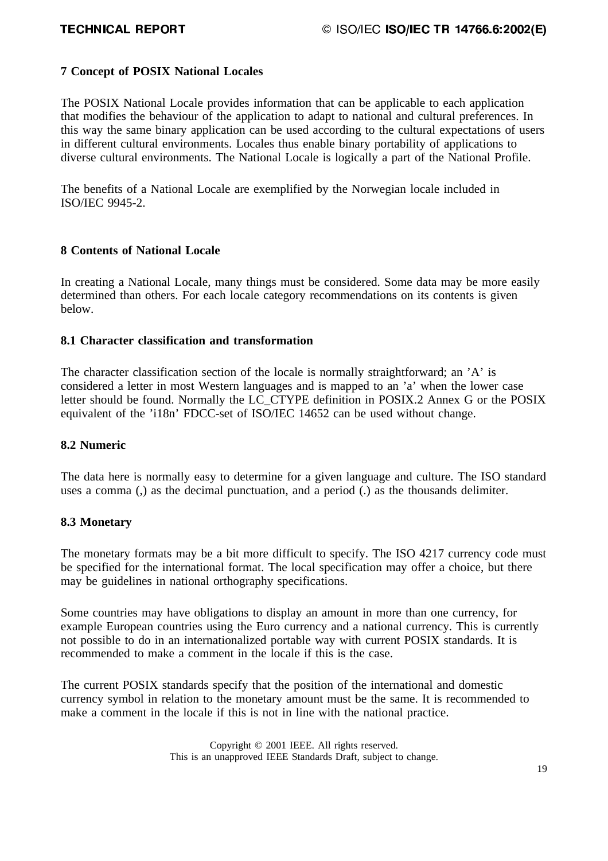### **7 Concept of POSIX National Locales**

The POSIX National Locale provides information that can be applicable to each application that modifies the behaviour of the application to adapt to national and cultural preferences. In this way the same binary application can be used according to the cultural expectations of users in different cultural environments. Locales thus enable binary portability of applications to diverse cultural environments. The National Locale is logically a part of the National Profile.

The benefits of a National Locale are exemplified by the Norwegian locale included in ISO/IEC 9945-2.

#### **8 Contents of National Locale**

In creating a National Locale, many things must be considered. Some data may be more easily determined than others. For each locale category recommendations on its contents is given below.

### **8.1 Character classification and transformation**

The character classification section of the locale is normally straightforward; an 'A' is considered a letter in most Western languages and is mapped to an 'a' when the lower case letter should be found. Normally the LC\_CTYPE definition in POSIX.2 Annex G or the POSIX equivalent of the 'i18n' FDCC-set of ISO/IEC 14652 can be used without change.

#### **8.2 Numeric**

The data here is normally easy to determine for a given language and culture. The ISO standard uses a comma (,) as the decimal punctuation, and a period (.) as the thousands delimiter.

#### **8.3 Monetary**

The monetary formats may be a bit more difficult to specify. The ISO 4217 currency code must be specified for the international format. The local specification may offer a choice, but there may be guidelines in national orthography specifications.

Some countries may have obligations to display an amount in more than one currency, for example European countries using the Euro currency and a national currency. This is currently not possible to do in an internationalized portable way with current POSIX standards. It is recommended to make a comment in the locale if this is the case.

The current POSIX standards specify that the position of the international and domestic currency symbol in relation to the monetary amount must be the same. It is recommended to make a comment in the locale if this is not in line with the national practice.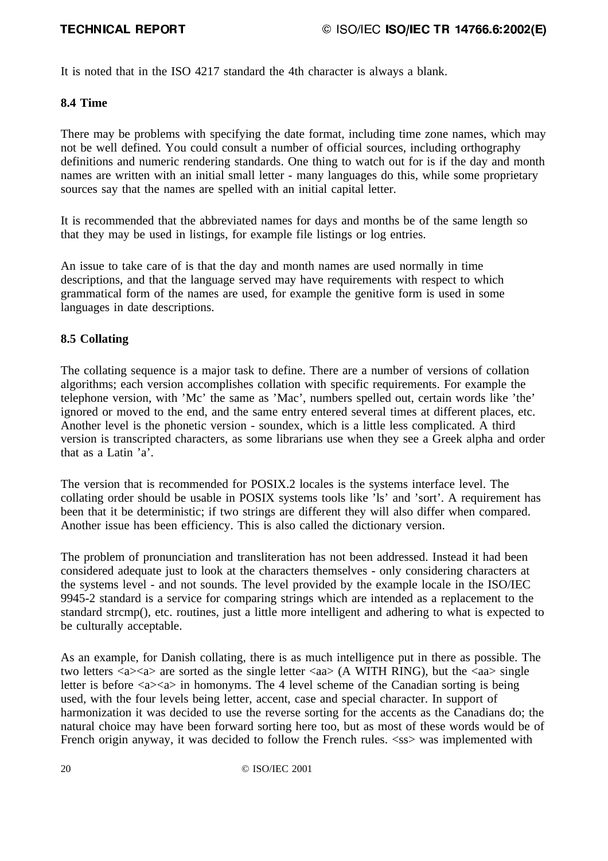It is noted that in the ISO 4217 standard the 4th character is always a blank.

### **8.4 Time**

There may be problems with specifying the date format, including time zone names, which may not be well defined. You could consult a number of official sources, including orthography definitions and numeric rendering standards. One thing to watch out for is if the day and month names are written with an initial small letter - many languages do this, while some proprietary sources say that the names are spelled with an initial capital letter.

It is recommended that the abbreviated names for days and months be of the same length so that they may be used in listings, for example file listings or log entries.

An issue to take care of is that the day and month names are used normally in time descriptions, and that the language served may have requirements with respect to which grammatical form of the names are used, for example the genitive form is used in some languages in date descriptions.

### **8.5 Collating**

The collating sequence is a major task to define. There are a number of versions of collation algorithms; each version accomplishes collation with specific requirements. For example the telephone version, with 'Mc' the same as 'Mac', numbers spelled out, certain words like 'the' ignored or moved to the end, and the same entry entered several times at different places, etc. Another level is the phonetic version - soundex, which is a little less complicated. A third version is transcripted characters, as some librarians use when they see a Greek alpha and order that as a Latin 'a'.

The version that is recommended for POSIX.2 locales is the systems interface level. The collating order should be usable in POSIX systems tools like 'ls' and 'sort'. A requirement has been that it be deterministic; if two strings are different they will also differ when compared. Another issue has been efficiency. This is also called the dictionary version.

The problem of pronunciation and transliteration has not been addressed. Instead it had been considered adequate just to look at the characters themselves - only considering characters at the systems level - and not sounds. The level provided by the example locale in the ISO/IEC 9945-2 standard is a service for comparing strings which are intended as a replacement to the standard strcmp(), etc. routines, just a little more intelligent and adhering to what is expected to be culturally acceptable.

As an example, for Danish collating, there is as much intelligence put in there as possible. The two letters  $\langle a \rangle \langle a \rangle$  are sorted as the single letter  $\langle aa \rangle$  (A WITH RING), but the  $\langle aa \rangle$  single letter is before  $\langle a \rangle \langle a \rangle$  in homonyms. The 4 level scheme of the Canadian sorting is being used, with the four levels being letter, accent, case and special character. In support of harmonization it was decided to use the reverse sorting for the accents as the Canadians do; the natural choice may have been forward sorting here too, but as most of these words would be of French origin anyway, it was decided to follow the French rules.  $\langle$ ss> was implemented with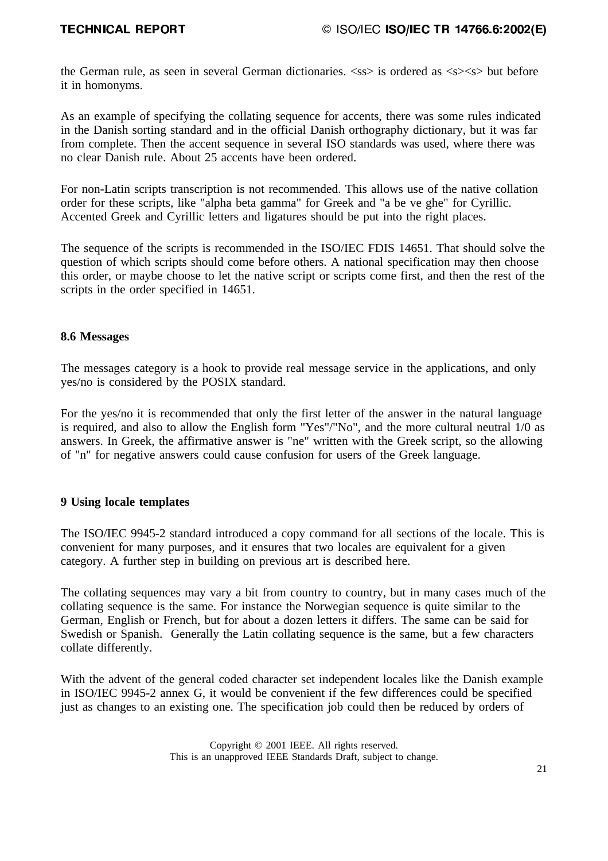the German rule, as seen in several German dictionaries. <ss> is ordered as <s><s> but before it in homonyms.

As an example of specifying the collating sequence for accents, there was some rules indicated in the Danish sorting standard and in the official Danish orthography dictionary, but it was far from complete. Then the accent sequence in several ISO standards was used, where there was no clear Danish rule. About 25 accents have been ordered.

For non-Latin scripts transcription is not recommended. This allows use of the native collation order for these scripts, like "alpha beta gamma" for Greek and "a be ve ghe" for Cyrillic. Accented Greek and Cyrillic letters and ligatures should be put into the right places.

The sequence of the scripts is recommended in the ISO/IEC FDIS 14651. That should solve the question of which scripts should come before others. A national specification may then choose this order, or maybe choose to let the native script or scripts come first, and then the rest of the scripts in the order specified in 14651.

### **8.6 Messages**

The messages category is a hook to provide real message service in the applications, and only yes/no is considered by the POSIX standard.

For the yes/no it is recommended that only the first letter of the answer in the natural language is required, and also to allow the English form "Yes"/"No", and the more cultural neutral 1/0 as answers. In Greek, the affirmative answer is "ne" written with the Greek script, so the allowing of "n" for negative answers could cause confusion for users of the Greek language.

### **9 Using locale templates**

The ISO/IEC 9945-2 standard introduced a copy command for all sections of the locale. This is convenient for many purposes, and it ensures that two locales are equivalent for a given category. A further step in building on previous art is described here.

The collating sequences may vary a bit from country to country, but in many cases much of the collating sequence is the same. For instance the Norwegian sequence is quite similar to the German, English or French, but for about a dozen letters it differs. The same can be said for Swedish or Spanish. Generally the Latin collating sequence is the same, but a few characters collate differently.

With the advent of the general coded character set independent locales like the Danish example in ISO/IEC 9945-2 annex G, it would be convenient if the few differences could be specified just as changes to an existing one. The specification job could then be reduced by orders of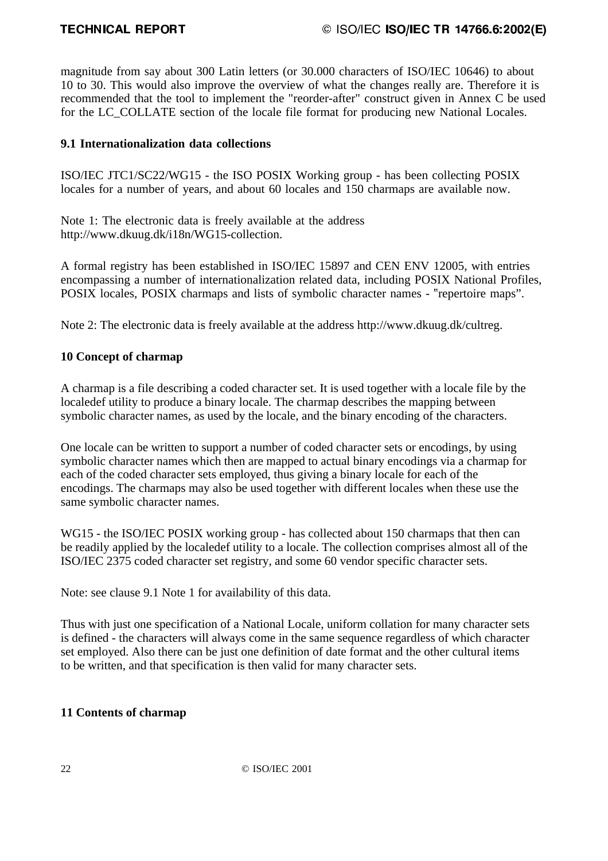magnitude from say about 300 Latin letters (or 30.000 characters of ISO/IEC 10646) to about 10 to 30. This would also improve the overview of what the changes really are. Therefore it is recommended that the tool to implement the "reorder-after" construct given in Annex C be used for the LC\_COLLATE section of the locale file format for producing new National Locales.

### **9.1 Internationalization data collections**

ISO/IEC JTC1/SC22/WG15 - the ISO POSIX Working group - has been collecting POSIX locales for a number of years, and about 60 locales and 150 charmaps are available now.

Note 1: The electronic data is freely available at the address http://www.dkuug.dk/i18n/WG15-collection.

A formal registry has been established in ISO/IEC 15897 and CEN ENV 12005, with entries encompassing a number of internationalization related data, including POSIX National Profiles, POSIX locales, POSIX charmaps and lists of symbolic character names - "repertoire maps".

Note 2: The electronic data is freely available at the address http://www.dkuug.dk/cultreg.

### **10 Concept of charmap**

A charmap is a file describing a coded character set. It is used together with a locale file by the localedef utility to produce a binary locale. The charmap describes the mapping between symbolic character names, as used by the locale, and the binary encoding of the characters.

One locale can be written to support a number of coded character sets or encodings, by using symbolic character names which then are mapped to actual binary encodings via a charmap for each of the coded character sets employed, thus giving a binary locale for each of the encodings. The charmaps may also be used together with different locales when these use the same symbolic character names.

WG15 - the ISO/IEC POSIX working group - has collected about 150 charmaps that then can be readily applied by the localedef utility to a locale. The collection comprises almost all of the ISO/IEC 2375 coded character set registry, and some 60 vendor specific character sets.

Note: see clause 9.1 Note 1 for availability of this data.

Thus with just one specification of a National Locale, uniform collation for many character sets is defined - the characters will always come in the same sequence regardless of which character set employed. Also there can be just one definition of date format and the other cultural items to be written, and that specification is then valid for many character sets.

### **11 Contents of charmap**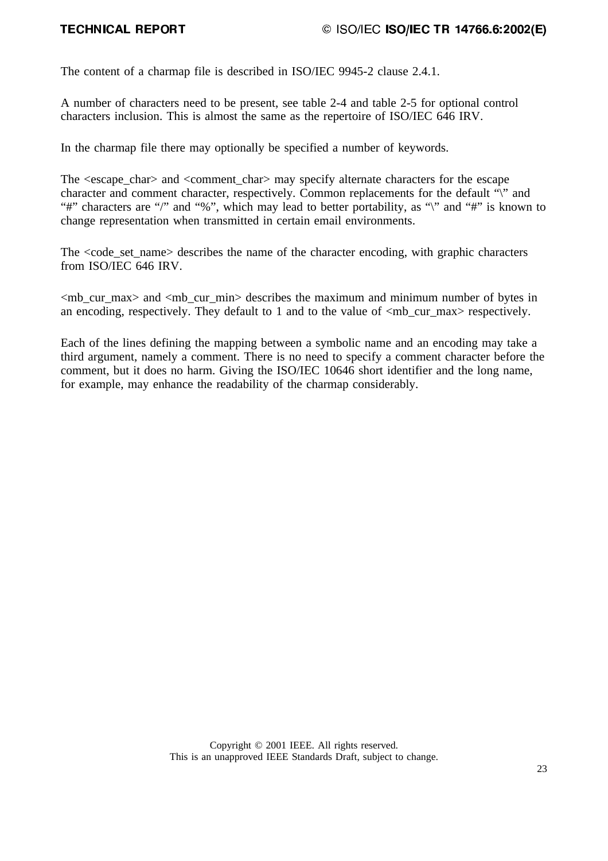The content of a charmap file is described in ISO/IEC 9945-2 clause 2.4.1.

A number of characters need to be present, see table 2-4 and table 2-5 for optional control characters inclusion. This is almost the same as the repertoire of ISO/IEC 646 IRV.

In the charmap file there may optionally be specified a number of keywords.

The  $\leq$ escape char $>$  and  $\leq$ comment char $>$  may specify alternate characters for the escape character and comment character, respectively. Common replacements for the default "\" and "#" characters are "/" and "%", which may lead to better portability, as "\" and "#" is known to change representation when transmitted in certain email environments.

The  $\langle \text{code} \rangle$  set name describes the name of the character encoding, with graphic characters from ISO/IEC 646 IRV.

 $\langle$ mb cur max $>$  and  $\langle$ mb cur min $>$  describes the maximum and minimum number of bytes in an encoding, respectively. They default to 1 and to the value of  $\langle mb \rangle$  cur max $>$  respectively.

Each of the lines defining the mapping between a symbolic name and an encoding may take a third argument, namely a comment. There is no need to specify a comment character before the comment, but it does no harm. Giving the ISO/IEC 10646 short identifier and the long name, for example, may enhance the readability of the charmap considerably.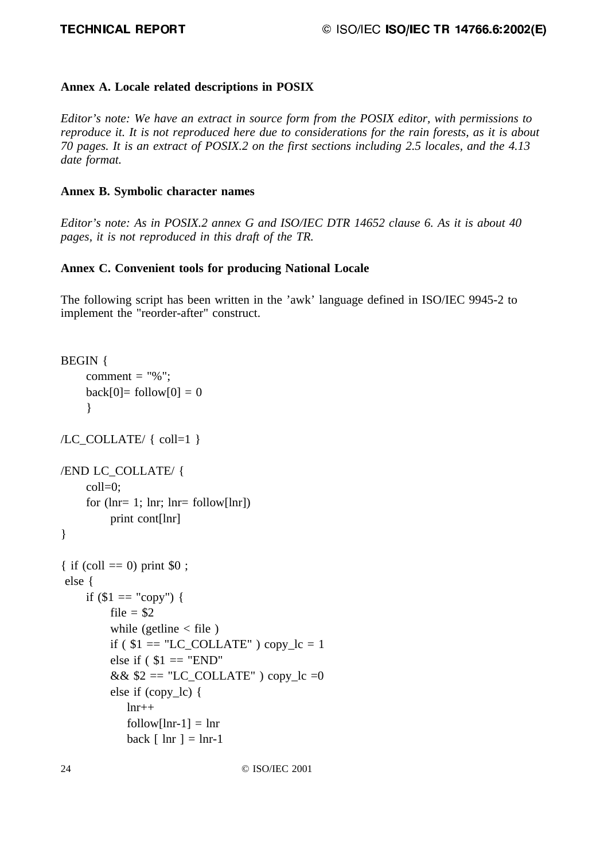### **Annex A. Locale related descriptions in POSIX**

*Editor's note: We have an extract in source form from the POSIX editor, with permissions to reproduce it. It is not reproduced here due to considerations for the rain forests, as it is about 70 pages. It is an extract of POSIX.2 on the first sections including 2.5 locales, and the 4.13 date format.*

### **Annex B. Symbolic character names**

*Editor's note: As in POSIX.2 annex G and ISO/IEC DTR 14652 clause 6. As it is about 40 pages, it is not reproduced in this draft of the TR.*

### **Annex C. Convenient tools for producing National Locale**

The following script has been written in the 'awk' language defined in ISO/IEC 9945-2 to implement the "reorder-after" construct.

```
BEGIN {
     comment = "%":
     back[0] = follow[0] = 0}
/LC_COLLATE/ { coll=1 }
/END LC_COLLATE/ {
     coll=0;
     for (lnr= 1; lnr; lnr= 6llow[lnr])
          print cont[lnr]
}
{ if (coll = 0) print $0;
  else {
     if \$1 == "copy") {
          file = $2
          while (gettine \langle file)
          if ($1 = "LC\_COLLATE") copy_lc = 1
          else if ($1 = "END"&\& $2 == "LC_COLLATE" ) copy_lc =0
          else if (copy_lc) {
             lnr++follow[lnr-1] = lnrback \lceil \ln r \rceil = \ln r - 1
```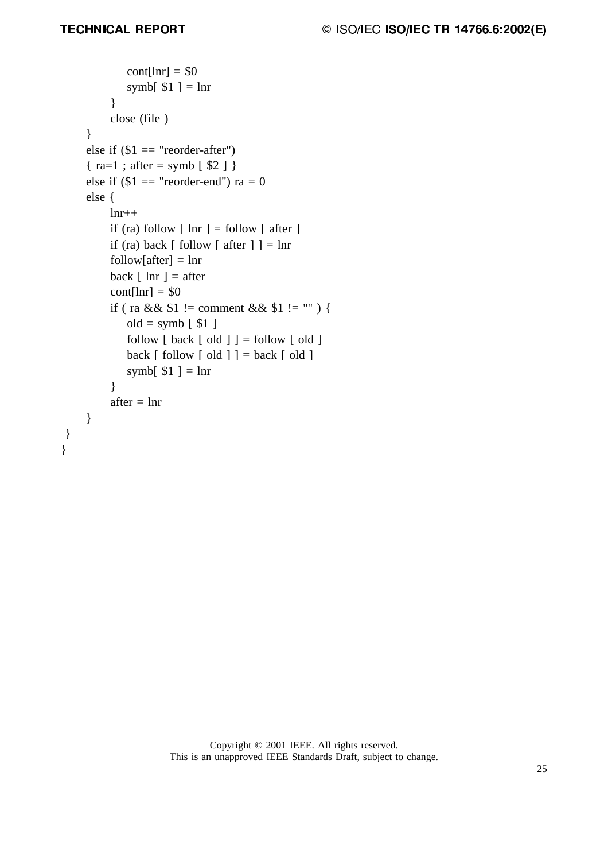} }

```
\text{cont}[\text{lnr}] = $0symb[$1 ] = \ln r}
       close (file )
}
else if $1 = "reorder-after"){ra=1; after = symb [ $2 ]}
else if $1 = "reorder-end") ra = 0
else {
       lnr++
       if (ra) follow \lceil \ln r \rceil = follow \lceil \ln r \rceilif (ra) back \lceil follow \lceil after \rceil \rceil = \ln rfollow[after] = lnrback \lceil \ln r \rceil = \text{after}\text{cont}[\text{lnr}] = $0if ( ra && $1! = \text{comment} \&\& \$1! = \text{""} ) {
           old = symb \lceil 1 \rceilfollow \lceil \text{back} \rceil old \rceil = follow \lceil \text{old} \rceilback \lceil \text{ follow } \rceil old \rceil \rceil = \text{back } \lceil \text{ old } \rceilsymb[$1 ] = lnr
       }
       after = lnr
}
```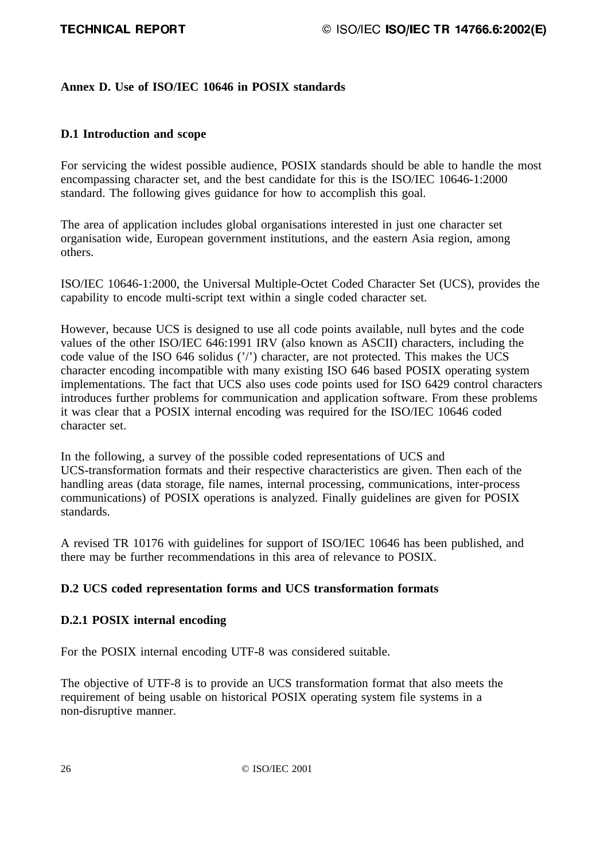### **Annex D. Use of ISO/IEC 10646 in POSIX standards**

### **D.1 Introduction and scope**

For servicing the widest possible audience, POSIX standards should be able to handle the most encompassing character set, and the best candidate for this is the ISO/IEC 10646-1:2000 standard. The following gives guidance for how to accomplish this goal.

The area of application includes global organisations interested in just one character set organisation wide, European government institutions, and the eastern Asia region, among others.

ISO/IEC 10646-1:2000, the Universal Multiple-Octet Coded Character Set (UCS), provides the capability to encode multi-script text within a single coded character set.

However, because UCS is designed to use all code points available, null bytes and the code values of the other ISO/IEC 646:1991 IRV (also known as ASCII) characters, including the code value of the ISO 646 solidus ('/') character, are not protected. This makes the UCS character encoding incompatible with many existing ISO 646 based POSIX operating system implementations. The fact that UCS also uses code points used for ISO 6429 control characters introduces further problems for communication and application software. From these problems it was clear that a POSIX internal encoding was required for the ISO/IEC 10646 coded character set.

In the following, a survey of the possible coded representations of UCS and UCS-transformation formats and their respective characteristics are given. Then each of the handling areas (data storage, file names, internal processing, communications, inter-process communications) of POSIX operations is analyzed. Finally guidelines are given for POSIX standards.

A revised TR 10176 with guidelines for support of ISO/IEC 10646 has been published, and there may be further recommendations in this area of relevance to POSIX.

### **D.2 UCS coded representation forms and UCS transformation formats**

### **D.2.1 POSIX internal encoding**

For the POSIX internal encoding UTF-8 was considered suitable.

The objective of UTF-8 is to provide an UCS transformation format that also meets the requirement of being usable on historical POSIX operating system file systems in a non-disruptive manner.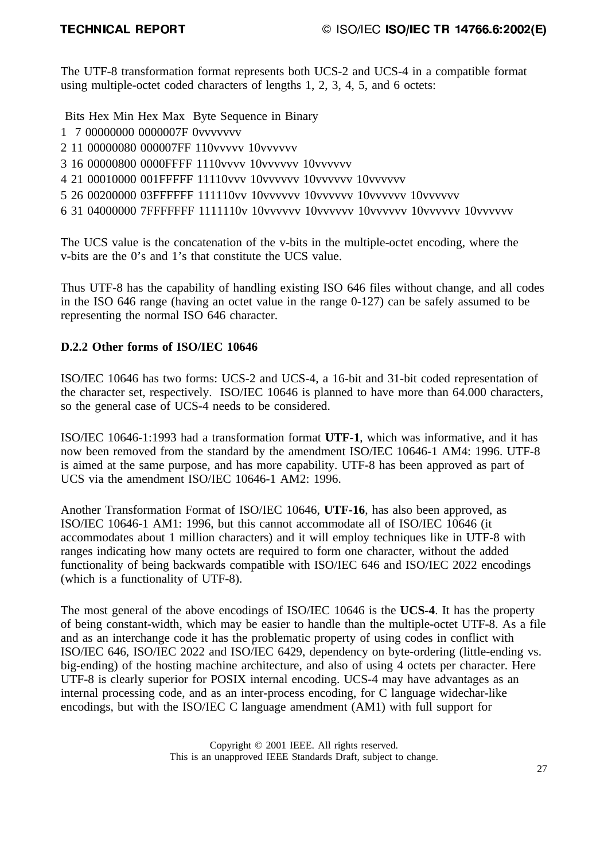The UTF-8 transformation format represents both UCS-2 and UCS-4 in a compatible format using multiple-octet coded characters of lengths 1, 2, 3, 4, 5, and 6 octets:

Bits Hex Min Hex Max Byte Sequence in Binary

- 1 7 00000000 0000007F 0vvvvvvv
- 2 11 00000080 000007FF 110vvvvv 10vvvvvv
- 3 16 00000800 0000FFFF 1110vvvv 10vvvvvv 10vvvvvv
- 4 21 00010000 001FFFFF 11110vvv 10vvvvvv 10vvvvvv 10vvvvvv
- 5 26 00200000 03FFFFFF 111110vv 10vvvvvv 10vvvvvv 10vvvvvv 10vvvvvv
- 6 31 04000000 7FFFFFFF 1111110v 10vvvvvv 10vvvvvv 10vvvvvv 10vvvvvv 10vvvvvv

The UCS value is the concatenation of the v-bits in the multiple-octet encoding, where the v-bits are the 0's and 1's that constitute the UCS value.

Thus UTF-8 has the capability of handling existing ISO 646 files without change, and all codes in the ISO 646 range (having an octet value in the range 0-127) can be safely assumed to be representing the normal ISO 646 character.

### **D.2.2 Other forms of ISO/IEC 10646**

ISO/IEC 10646 has two forms: UCS-2 and UCS-4, a 16-bit and 31-bit coded representation of the character set, respectively. ISO/IEC 10646 is planned to have more than 64.000 characters, so the general case of UCS-4 needs to be considered.

ISO/IEC 10646-1:1993 had a transformation format **UTF-1**, which was informative, and it has now been removed from the standard by the amendment ISO/IEC 10646-1 AM4: 1996. UTF-8 is aimed at the same purpose, and has more capability. UTF-8 has been approved as part of UCS via the amendment ISO/IEC 10646-1 AM2: 1996.

Another Transformation Format of ISO/IEC 10646, **UTF-16**, has also been approved, as ISO/IEC 10646-1 AM1: 1996, but this cannot accommodate all of ISO/IEC 10646 (it accommodates about 1 million characters) and it will employ techniques like in UTF-8 with ranges indicating how many octets are required to form one character, without the added functionality of being backwards compatible with ISO/IEC 646 and ISO/IEC 2022 encodings (which is a functionality of UTF-8).

The most general of the above encodings of ISO/IEC 10646 is the **UCS-4**. It has the property of being constant-width, which may be easier to handle than the multiple-octet UTF-8. As a file and as an interchange code it has the problematic property of using codes in conflict with ISO/IEC 646, ISO/IEC 2022 and ISO/IEC 6429, dependency on byte-ordering (little-ending vs. big-ending) of the hosting machine architecture, and also of using 4 octets per character. Here UTF-8 is clearly superior for POSIX internal encoding. UCS-4 may have advantages as an internal processing code, and as an inter-process encoding, for C language widechar-like encodings, but with the ISO/IEC C language amendment (AM1) with full support for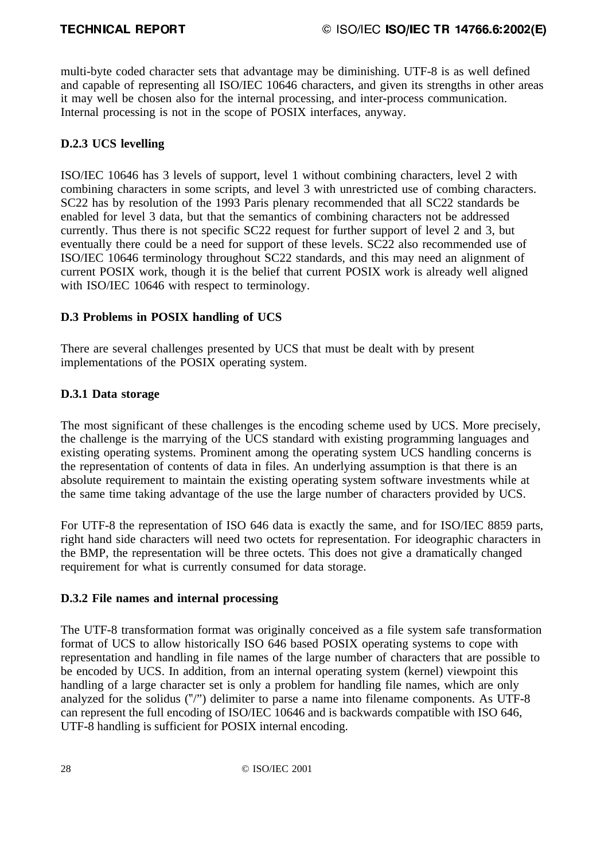multi-byte coded character sets that advantage may be diminishing. UTF-8 is as well defined and capable of representing all ISO/IEC 10646 characters, and given its strengths in other areas it may well be chosen also for the internal processing, and inter-process communication. Internal processing is not in the scope of POSIX interfaces, anyway.

### **D.2.3 UCS levelling**

ISO/IEC 10646 has 3 levels of support, level 1 without combining characters, level 2 with combining characters in some scripts, and level 3 with unrestricted use of combing characters. SC22 has by resolution of the 1993 Paris plenary recommended that all SC22 standards be enabled for level 3 data, but that the semantics of combining characters not be addressed currently. Thus there is not specific SC22 request for further support of level 2 and 3, but eventually there could be a need for support of these levels. SC22 also recommended use of ISO/IEC 10646 terminology throughout SC22 standards, and this may need an alignment of current POSIX work, though it is the belief that current POSIX work is already well aligned with ISO/IEC 10646 with respect to terminology.

### **D.3 Problems in POSIX handling of UCS**

There are several challenges presented by UCS that must be dealt with by present implementations of the POSIX operating system.

### **D.3.1 Data storage**

The most significant of these challenges is the encoding scheme used by UCS. More precisely, the challenge is the marrying of the UCS standard with existing programming languages and existing operating systems. Prominent among the operating system UCS handling concerns is the representation of contents of data in files. An underlying assumption is that there is an absolute requirement to maintain the existing operating system software investments while at the same time taking advantage of the use the large number of characters provided by UCS.

For UTF-8 the representation of ISO 646 data is exactly the same, and for ISO/IEC 8859 parts, right hand side characters will need two octets for representation. For ideographic characters in the BMP, the representation will be three octets. This does not give a dramatically changed requirement for what is currently consumed for data storage.

### **D.3.2 File names and internal processing**

The UTF-8 transformation format was originally conceived as a file system safe transformation format of UCS to allow historically ISO 646 based POSIX operating systems to cope with representation and handling in file names of the large number of characters that are possible to be encoded by UCS. In addition, from an internal operating system (kernel) viewpoint this handling of a large character set is only a problem for handling file names, which are only analyzed for the solidus  $(\frac{m}{2})$  delimiter to parse a name into filename components. As UTF-8 can represent the full encoding of ISO/IEC 10646 and is backwards compatible with ISO 646, UTF-8 handling is sufficient for POSIX internal encoding.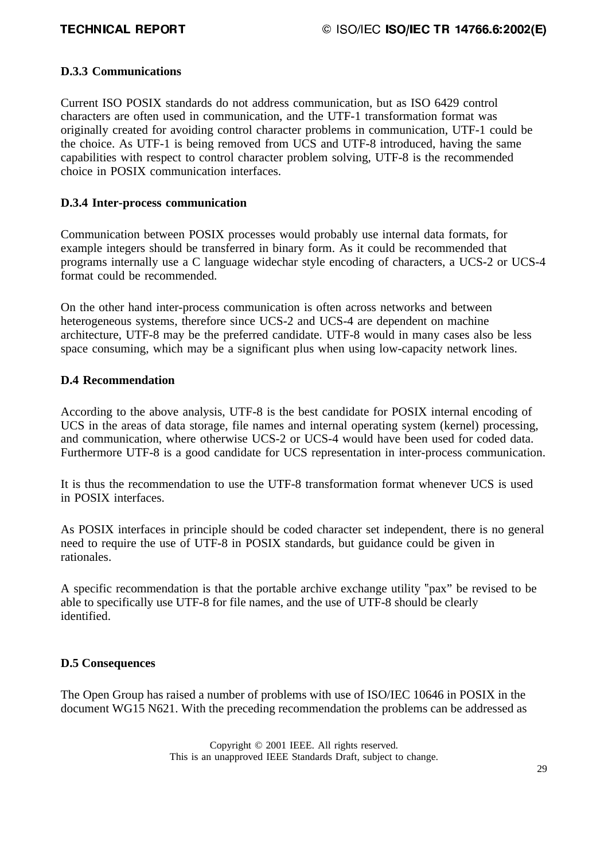### **D.3.3 Communications**

Current ISO POSIX standards do not address communication, but as ISO 6429 control characters are often used in communication, and the UTF-1 transformation format was originally created for avoiding control character problems in communication, UTF-1 could be the choice. As UTF-1 is being removed from UCS and UTF-8 introduced, having the same capabilities with respect to control character problem solving, UTF-8 is the recommended choice in POSIX communication interfaces.

### **D.3.4 Inter-process communication**

Communication between POSIX processes would probably use internal data formats, for example integers should be transferred in binary form. As it could be recommended that programs internally use a C language widechar style encoding of characters, a UCS-2 or UCS-4 format could be recommended.

On the other hand inter-process communication is often across networks and between heterogeneous systems, therefore since UCS-2 and UCS-4 are dependent on machine architecture, UTF-8 may be the preferred candidate. UTF-8 would in many cases also be less space consuming, which may be a significant plus when using low-capacity network lines.

### **D.4 Recommendation**

According to the above analysis, UTF-8 is the best candidate for POSIX internal encoding of UCS in the areas of data storage, file names and internal operating system (kernel) processing, and communication, where otherwise UCS-2 or UCS-4 would have been used for coded data. Furthermore UTF-8 is a good candidate for UCS representation in inter-process communication.

It is thus the recommendation to use the UTF-8 transformation format whenever UCS is used in POSIX interfaces.

As POSIX interfaces in principle should be coded character set independent, there is no general need to require the use of UTF-8 in POSIX standards, but guidance could be given in rationales.

A specific recommendation is that the portable archive exchange utility "pax" be revised to be able to specifically use UTF-8 for file names, and the use of UTF-8 should be clearly identified.

### **D.5 Consequences**

The Open Group has raised a number of problems with use of ISO/IEC 10646 in POSIX in the document WG15 N621. With the preceding recommendation the problems can be addressed as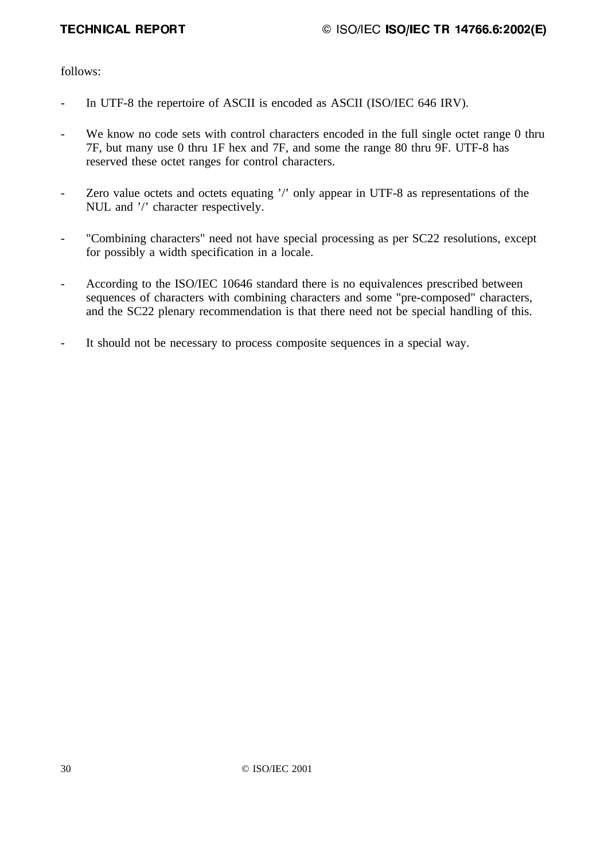follows:

- In UTF-8 the repertoire of ASCII is encoded as ASCII (ISO/IEC 646 IRV).
- We know no code sets with control characters encoded in the full single octet range 0 thru 7F, but many use 0 thru 1F hex and 7F, and some the range 80 thru 9F. UTF-8 has reserved these octet ranges for control characters.
- Zero value octets and octets equating '/' only appear in UTF-8 as representations of the NUL and '/' character respectively.
- "Combining characters" need not have special processing as per SC22 resolutions, except for possibly a width specification in a locale.
- According to the ISO/IEC 10646 standard there is no equivalences prescribed between sequences of characters with combining characters and some "pre-composed" characters, and the SC22 plenary recommendation is that there need not be special handling of this.
- It should not be necessary to process composite sequences in a special way.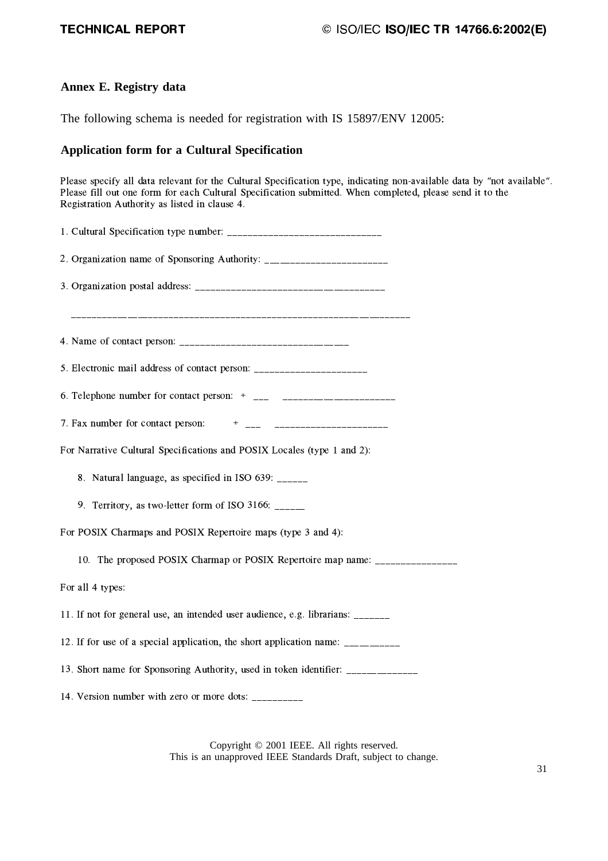# $\circ$  ISO/IEC ISO/IEC TR 14766.6:2002(E)

### **Annex E. Registry data**

The following schema is needed for registration with IS 15897/ENV 12005:

#### **Application form for a Cultural Specification**

Please specify all data relevant for the Cultural Specification type, indicating non-available data by "not available". Please fill out one form for each Cultural Specification submitted. When completed, please send it to the Registration Authority as listed in clause 4.

| 2. Organization name of Sponsoring Authority: __________________________________ |
|----------------------------------------------------------------------------------|
|                                                                                  |
|                                                                                  |
|                                                                                  |
| 5. Electronic mail address of contact person: __________________________________ |
|                                                                                  |
|                                                                                  |
| For Narrative Cultural Specifications and POSIX Locales (type 1 and 2):          |
| 8. Natural language, as specified in ISO 639: ______                             |
| 9. Territory, as two-letter form of ISO 3166: _____                              |
| For POSIX Charmaps and POSIX Repertoire maps (type 3 and 4):                     |
| 10. The proposed POSIX Charmap or POSIX Repertoire map name: ___________________ |
| For all 4 types:                                                                 |
| 11. If not for general use, an intended user audience, e.g. librarians: ______   |
| 12. If for use of a special application, the short application name: ___________ |
| 13. Short name for Sponsoring Authority, used in token identifier: _____________ |
| 14. Version number with zero or more dots: __________                            |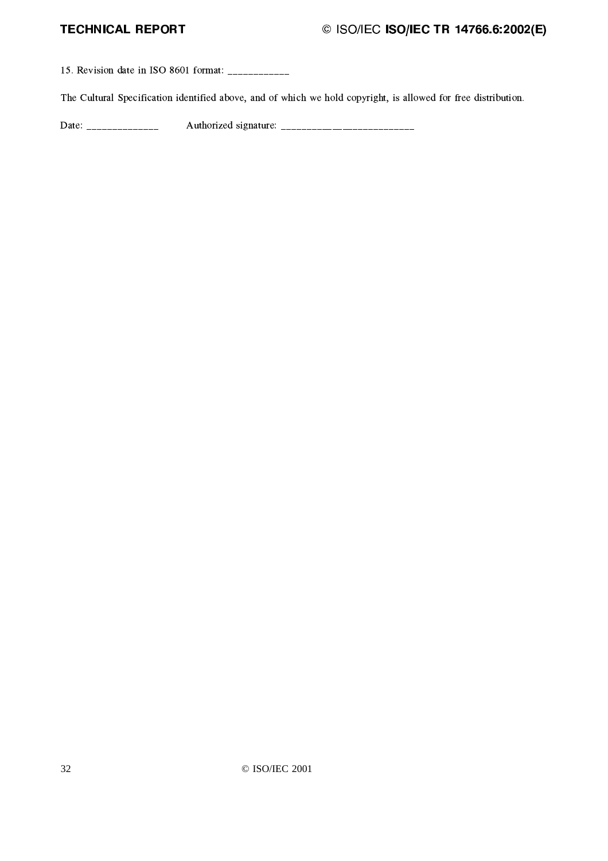# $\degree$  ISO/IEC ISO/IEC TR 14766.6:2002(E)

¨ ° ¥Coqxr¤x{}pJ~o\$xº¬ À²Ę̀ y99pJ~F©nª}ªª}ªª}ª}ªª}ªª}ª}ª

The Cultural Specification identified above, and of which we hold copyright, is allowed for free distribution.

Í
p8~o©nª}ªª}ªª}ª}ªª}ªª}ª}ªª}ª ¦Î}~vx oq{+r¤xvpJ~}Fo}©ª}ªª}ª}ªª}ªª}ª}ªª}ªª}ª}ªª}ªª}ª}ªª}ªª}ª}ªª